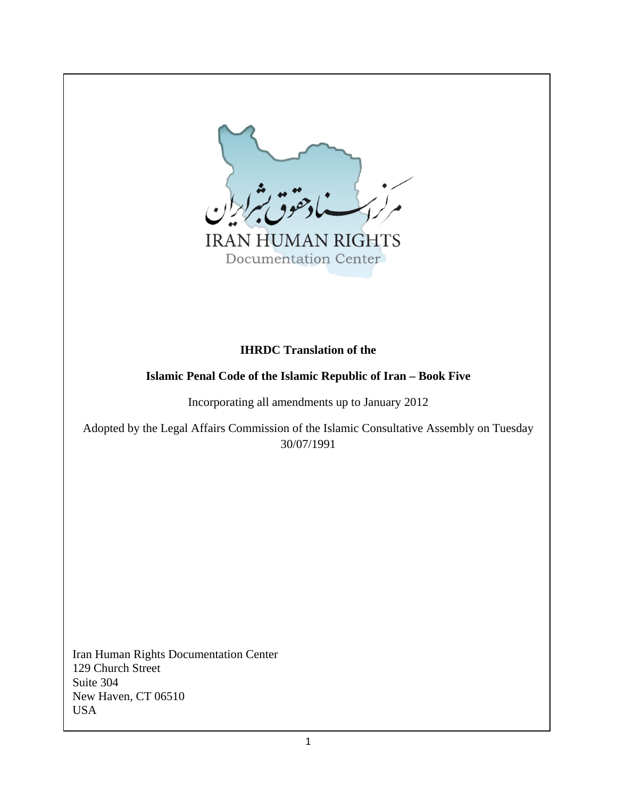

Documentation Center

# **IHRDC Translation of the**

# **Islamic Penal Code of the Islamic Republic of Iran – Book Five**

Incorporating all amendments up to January 2012

Adopted by the Legal Affairs Commission of the Islamic Consultative Assembly on Tuesday 30/07/1991

Iran Human Rights Documentation Center 129 Church Street Suite 304 New Haven, CT 06510 USA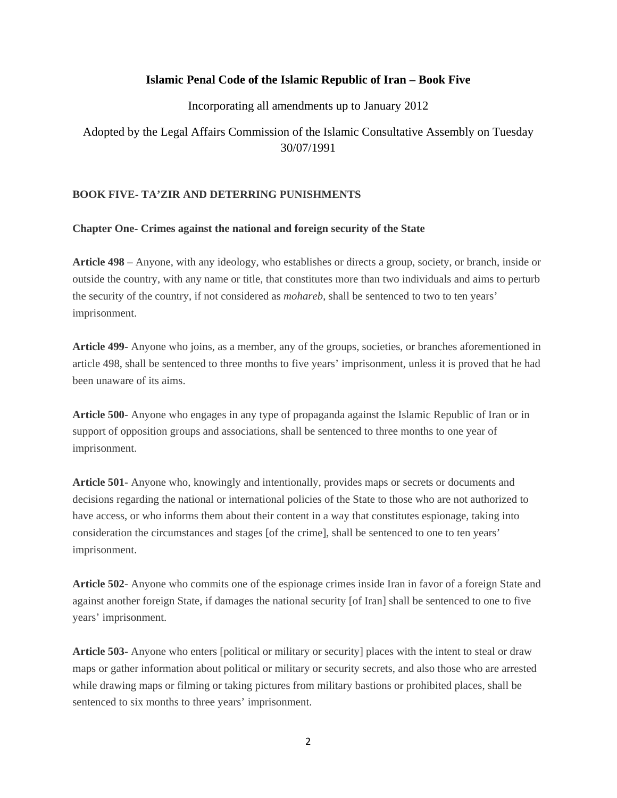# **Islamic Penal Code of the Islamic Republic of Iran – Book Five**

Incorporating all amendments up to January 2012

Adopted by the Legal Affairs Commission of the Islamic Consultative Assembly on Tuesday 30/07/1991

# **BOOK FIVE- TA'ZIR AND DETERRING PUNISHMENTS**

# **Chapter One- Crimes against the national and foreign security of the State**

**Article 498** – Anyone, with any ideology, who establishes or directs a group, society, or branch, inside or outside the country, with any name or title, that constitutes more than two individuals and aims to perturb the security of the country, if not considered as *mohareb*, shall be sentenced to two to ten years' imprisonment.

**Article 499**- Anyone who joins, as a member, any of the groups, societies, or branches aforementioned in article 498, shall be sentenced to three months to five years' imprisonment, unless it is proved that he had been unaware of its aims.

**Article 500**- Anyone who engages in any type of propaganda against the Islamic Republic of Iran or in support of opposition groups and associations, shall be sentenced to three months to one year of imprisonment.

**Article 501**- Anyone who, knowingly and intentionally, provides maps or secrets or documents and decisions regarding the national or international policies of the State to those who are not authorized to have access, or who informs them about their content in a way that constitutes espionage, taking into consideration the circumstances and stages [of the crime], shall be sentenced to one to ten years' imprisonment.

**Article 502**- Anyone who commits one of the espionage crimes inside Iran in favor of a foreign State and against another foreign State, if damages the national security [of Iran] shall be sentenced to one to five years' imprisonment.

**Article 503**- Anyone who enters [political or military or security] places with the intent to steal or draw maps or gather information about political or military or security secrets, and also those who are arrested while drawing maps or filming or taking pictures from military bastions or prohibited places, shall be sentenced to six months to three years' imprisonment.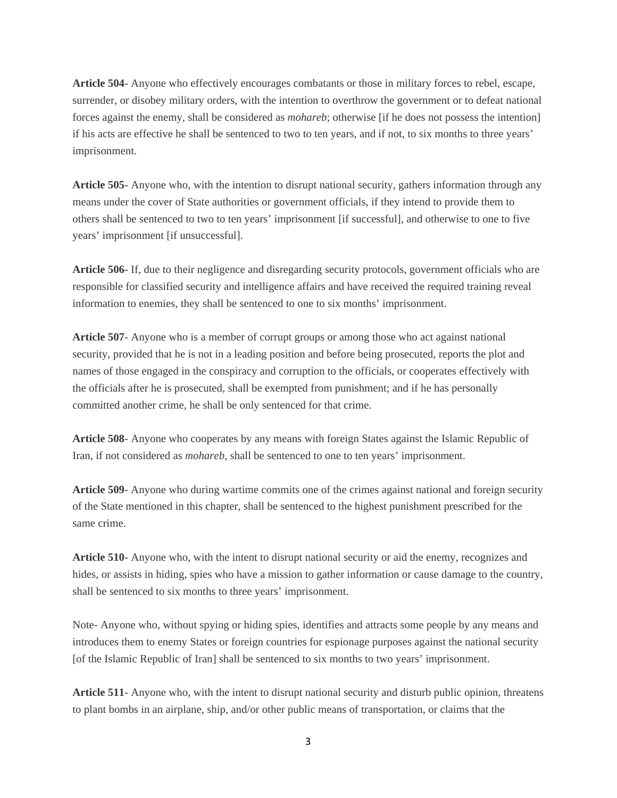**Article 504**- Anyone who effectively encourages combatants or those in military forces to rebel, escape, surrender, or disobey military orders, with the intention to overthrow the government or to defeat national forces against the enemy, shall be considered as *mohareb*; otherwise [if he does not possess the intention] if his acts are effective he shall be sentenced to two to ten years, and if not, to six months to three years' imprisonment.

**Article 505**- Anyone who, with the intention to disrupt national security, gathers information through any means under the cover of State authorities or government officials, if they intend to provide them to others shall be sentenced to two to ten years' imprisonment [if successful], and otherwise to one to five years' imprisonment [if unsuccessful].

**Article 506**- If, due to their negligence and disregarding security protocols, government officials who are responsible for classified security and intelligence affairs and have received the required training reveal information to enemies, they shall be sentenced to one to six months' imprisonment.

**Article 507**- Anyone who is a member of corrupt groups or among those who act against national security, provided that he is not in a leading position and before being prosecuted, reports the plot and names of those engaged in the conspiracy and corruption to the officials, or cooperates effectively with the officials after he is prosecuted, shall be exempted from punishment; and if he has personally committed another crime, he shall be only sentenced for that crime.

**Article 508**- Anyone who cooperates by any means with foreign States against the Islamic Republic of Iran, if not considered as *mohareb*, shall be sentenced to one to ten years' imprisonment.

**Article 509**- Anyone who during wartime commits one of the crimes against national and foreign security of the State mentioned in this chapter, shall be sentenced to the highest punishment prescribed for the same crime.

**Article 510**- Anyone who, with the intent to disrupt national security or aid the enemy, recognizes and hides, or assists in hiding, spies who have a mission to gather information or cause damage to the country, shall be sentenced to six months to three years' imprisonment.

Note- Anyone who, without spying or hiding spies, identifies and attracts some people by any means and introduces them to enemy States or foreign countries for espionage purposes against the national security [of the Islamic Republic of Iran] shall be sentenced to six months to two years' imprisonment.

**Article 511**- Anyone who, with the intent to disrupt national security and disturb public opinion, threatens to plant bombs in an airplane, ship, and/or other public means of transportation, or claims that the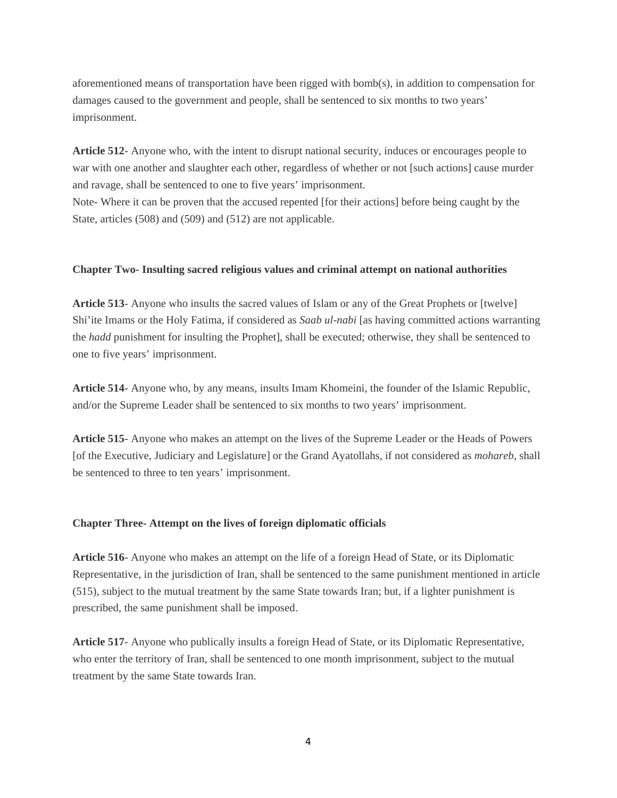aforementioned means of transportation have been rigged with bomb(s), in addition to compensation for damages caused to the government and people, shall be sentenced to six months to two years' imprisonment.

**Article 512**- Anyone who, with the intent to disrupt national security, induces or encourages people to war with one another and slaughter each other, regardless of whether or not [such actions] cause murder and ravage, shall be sentenced to one to five years' imprisonment. Note- Where it can be proven that the accused repented [for their actions] before being caught by the State, articles (508) and (509) and (512) are not applicable.

# **Chapter Two- Insulting sacred religious values and criminal attempt on national authorities**

**Article 513**- Anyone who insults the sacred values of Islam or any of the Great Prophets or [twelve] Shi'ite Imams or the Holy Fatima, if considered as *Saab ul-nabi* [as having committed actions warranting the *hadd* punishment for insulting the Prophet], shall be executed; otherwise, they shall be sentenced to one to five years' imprisonment.

**Article 514**- Anyone who, by any means, insults Imam Khomeini, the founder of the Islamic Republic, and/or the Supreme Leader shall be sentenced to six months to two years' imprisonment.

**Article 515**- Anyone who makes an attempt on the lives of the Supreme Leader or the Heads of Powers [of the Executive, Judiciary and Legislature] or the Grand Ayatollahs, if not considered as *mohareb*, shall be sentenced to three to ten years' imprisonment.

#### **Chapter Three- Attempt on the lives of foreign diplomatic officials**

**Article 516**- Anyone who makes an attempt on the life of a foreign Head of State, or its Diplomatic Representative, in the jurisdiction of Iran, shall be sentenced to the same punishment mentioned in article (515), subject to the mutual treatment by the same State towards Iran; but, if a lighter punishment is prescribed, the same punishment shall be imposed.

**Article 517**- Anyone who publically insults a foreign Head of State, or its Diplomatic Representative, who enter the territory of Iran, shall be sentenced to one month imprisonment, subject to the mutual treatment by the same State towards Iran.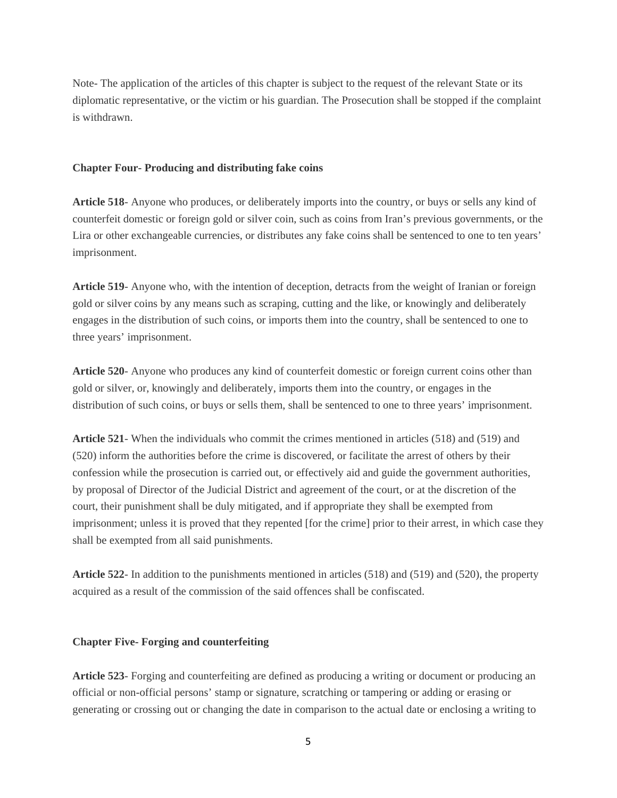Note- The application of the articles of this chapter is subject to the request of the relevant State or its diplomatic representative, or the victim or his guardian. The Prosecution shall be stopped if the complaint is withdrawn.

#### **Chapter Four- Producing and distributing fake coins**

**Article 518**- Anyone who produces, or deliberately imports into the country, or buys or sells any kind of counterfeit domestic or foreign gold or silver coin, such as coins from Iran's previous governments, or the Lira or other exchangeable currencies, or distributes any fake coins shall be sentenced to one to ten years' imprisonment.

**Article 519**- Anyone who, with the intention of deception, detracts from the weight of Iranian or foreign gold or silver coins by any means such as scraping, cutting and the like, or knowingly and deliberately engages in the distribution of such coins, or imports them into the country, shall be sentenced to one to three years' imprisonment.

**Article 520**- Anyone who produces any kind of counterfeit domestic or foreign current coins other than gold or silver, or, knowingly and deliberately, imports them into the country, or engages in the distribution of such coins, or buys or sells them, shall be sentenced to one to three years' imprisonment.

**Article 521**- When the individuals who commit the crimes mentioned in articles (518) and (519) and (520) inform the authorities before the crime is discovered, or facilitate the arrest of others by their confession while the prosecution is carried out, or effectively aid and guide the government authorities, by proposal of Director of the Judicial District and agreement of the court, or at the discretion of the court, their punishment shall be duly mitigated, and if appropriate they shall be exempted from imprisonment; unless it is proved that they repented [for the crime] prior to their arrest, in which case they shall be exempted from all said punishments.

**Article 522**- In addition to the punishments mentioned in articles (518) and (519) and (520), the property acquired as a result of the commission of the said offences shall be confiscated.

#### **Chapter Five- Forging and counterfeiting**

**Article 523**- Forging and counterfeiting are defined as producing a writing or document or producing an official or non-official persons' stamp or signature, scratching or tampering or adding or erasing or generating or crossing out or changing the date in comparison to the actual date or enclosing a writing to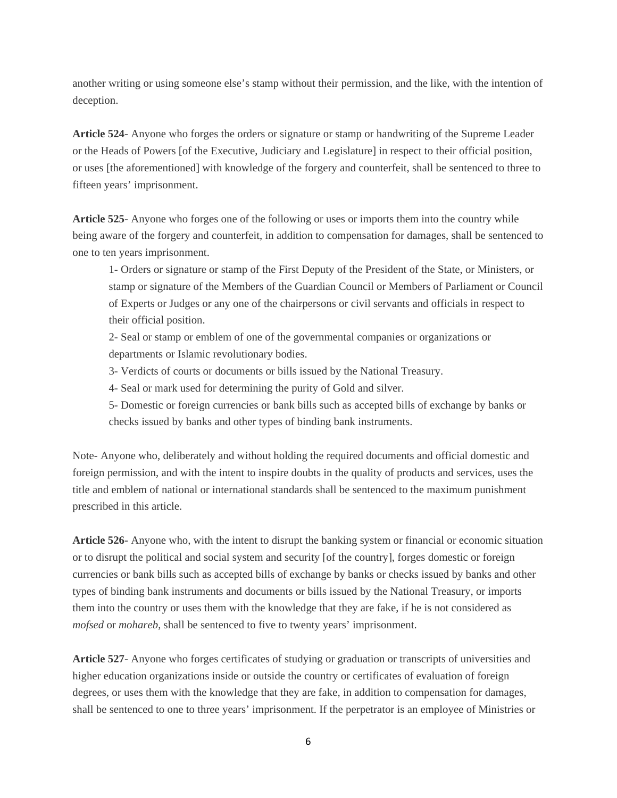another writing or using someone else's stamp without their permission, and the like, with the intention of deception.

**Article 524**- Anyone who forges the orders or signature or stamp or handwriting of the Supreme Leader or the Heads of Powers [of the Executive, Judiciary and Legislature] in respect to their official position, or uses [the aforementioned] with knowledge of the forgery and counterfeit, shall be sentenced to three to fifteen years' imprisonment.

**Article 525**- Anyone who forges one of the following or uses or imports them into the country while being aware of the forgery and counterfeit, in addition to compensation for damages, shall be sentenced to one to ten years imprisonment.

1- Orders or signature or stamp of the First Deputy of the President of the State, or Ministers, or stamp or signature of the Members of the Guardian Council or Members of Parliament or Council of Experts or Judges or any one of the chairpersons or civil servants and officials in respect to their official position.

2- Seal or stamp or emblem of one of the governmental companies or organizations or departments or Islamic revolutionary bodies.

3- Verdicts of courts or documents or bills issued by the National Treasury.

4- Seal or mark used for determining the purity of Gold and silver.

5- Domestic or foreign currencies or bank bills such as accepted bills of exchange by banks or checks issued by banks and other types of binding bank instruments.

Note- Anyone who, deliberately and without holding the required documents and official domestic and foreign permission, and with the intent to inspire doubts in the quality of products and services, uses the title and emblem of national or international standards shall be sentenced to the maximum punishment prescribed in this article.

**Article 526**- Anyone who, with the intent to disrupt the banking system or financial or economic situation or to disrupt the political and social system and security [of the country], forges domestic or foreign currencies or bank bills such as accepted bills of exchange by banks or checks issued by banks and other types of binding bank instruments and documents or bills issued by the National Treasury, or imports them into the country or uses them with the knowledge that they are fake, if he is not considered as *mofsed* or *mohareb*, shall be sentenced to five to twenty years' imprisonment.

**Article 527**- Anyone who forges certificates of studying or graduation or transcripts of universities and higher education organizations inside or outside the country or certificates of evaluation of foreign degrees, or uses them with the knowledge that they are fake, in addition to compensation for damages, shall be sentenced to one to three years' imprisonment. If the perpetrator is an employee of Ministries or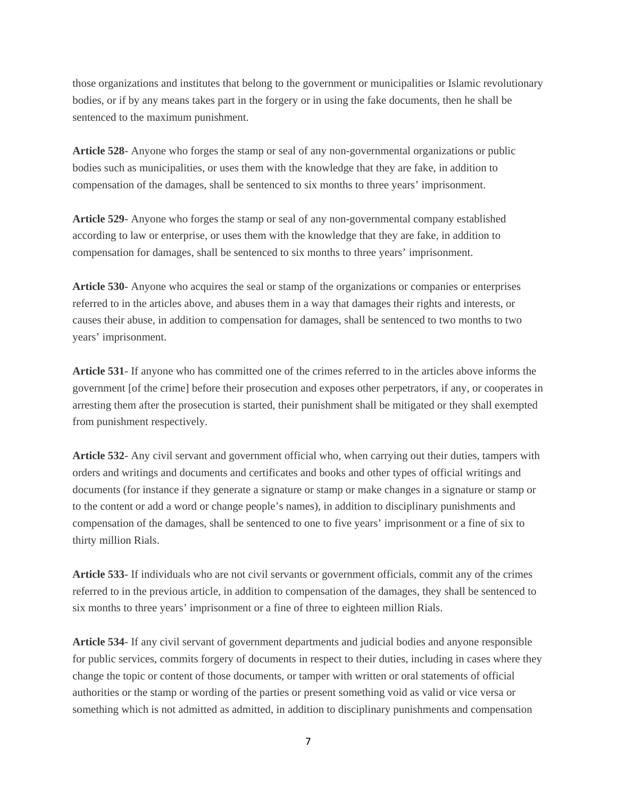those organizations and institutes that belong to the government or municipalities or Islamic revolutionary bodies, or if by any means takes part in the forgery or in using the fake documents, then he shall be sentenced to the maximum punishment.

**Article 528**- Anyone who forges the stamp or seal of any non-governmental organizations or public bodies such as municipalities, or uses them with the knowledge that they are fake, in addition to compensation of the damages, shall be sentenced to six months to three years' imprisonment.

**Article 529**- Anyone who forges the stamp or seal of any non-governmental company established according to law or enterprise, or uses them with the knowledge that they are fake, in addition to compensation for damages, shall be sentenced to six months to three years' imprisonment.

**Article 530**- Anyone who acquires the seal or stamp of the organizations or companies or enterprises referred to in the articles above, and abuses them in a way that damages their rights and interests, or causes their abuse, in addition to compensation for damages, shall be sentenced to two months to two years' imprisonment.

**Article 531**- If anyone who has committed one of the crimes referred to in the articles above informs the government [of the crime] before their prosecution and exposes other perpetrators, if any, or cooperates in arresting them after the prosecution is started, their punishment shall be mitigated or they shall exempted from punishment respectively.

**Article 532**- Any civil servant and government official who, when carrying out their duties, tampers with orders and writings and documents and certificates and books and other types of official writings and documents (for instance if they generate a signature or stamp or make changes in a signature or stamp or to the content or add a word or change people's names), in addition to disciplinary punishments and compensation of the damages, shall be sentenced to one to five years' imprisonment or a fine of six to thirty million Rials.

**Article 533**- If individuals who are not civil servants or government officials, commit any of the crimes referred to in the previous article, in addition to compensation of the damages, they shall be sentenced to six months to three years' imprisonment or a fine of three to eighteen million Rials.

**Article 534**- If any civil servant of government departments and judicial bodies and anyone responsible for public services, commits forgery of documents in respect to their duties, including in cases where they change the topic or content of those documents, or tamper with written or oral statements of official authorities or the stamp or wording of the parties or present something void as valid or vice versa or something which is not admitted as admitted, in addition to disciplinary punishments and compensation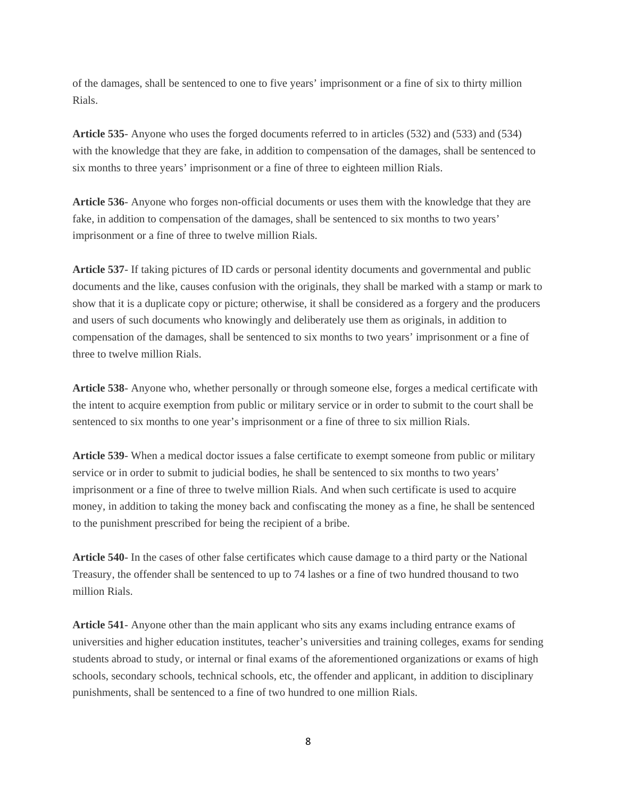of the damages, shall be sentenced to one to five years' imprisonment or a fine of six to thirty million Rials.

**Article 535**- Anyone who uses the forged documents referred to in articles (532) and (533) and (534) with the knowledge that they are fake, in addition to compensation of the damages, shall be sentenced to six months to three years' imprisonment or a fine of three to eighteen million Rials.

**Article 536**- Anyone who forges non-official documents or uses them with the knowledge that they are fake, in addition to compensation of the damages, shall be sentenced to six months to two years' imprisonment or a fine of three to twelve million Rials.

**Article 537**- If taking pictures of ID cards or personal identity documents and governmental and public documents and the like, causes confusion with the originals, they shall be marked with a stamp or mark to show that it is a duplicate copy or picture; otherwise, it shall be considered as a forgery and the producers and users of such documents who knowingly and deliberately use them as originals, in addition to compensation of the damages, shall be sentenced to six months to two years' imprisonment or a fine of three to twelve million Rials.

**Article 538**- Anyone who, whether personally or through someone else, forges a medical certificate with the intent to acquire exemption from public or military service or in order to submit to the court shall be sentenced to six months to one year's imprisonment or a fine of three to six million Rials.

**Article 539**- When a medical doctor issues a false certificate to exempt someone from public or military service or in order to submit to judicial bodies, he shall be sentenced to six months to two years' imprisonment or a fine of three to twelve million Rials. And when such certificate is used to acquire money, in addition to taking the money back and confiscating the money as a fine, he shall be sentenced to the punishment prescribed for being the recipient of a bribe.

**Article 540**- In the cases of other false certificates which cause damage to a third party or the National Treasury, the offender shall be sentenced to up to 74 lashes or a fine of two hundred thousand to two million Rials.

**Article 541**- Anyone other than the main applicant who sits any exams including entrance exams of universities and higher education institutes, teacher's universities and training colleges, exams for sending students abroad to study, or internal or final exams of the aforementioned organizations or exams of high schools, secondary schools, technical schools, etc, the offender and applicant, in addition to disciplinary punishments, shall be sentenced to a fine of two hundred to one million Rials.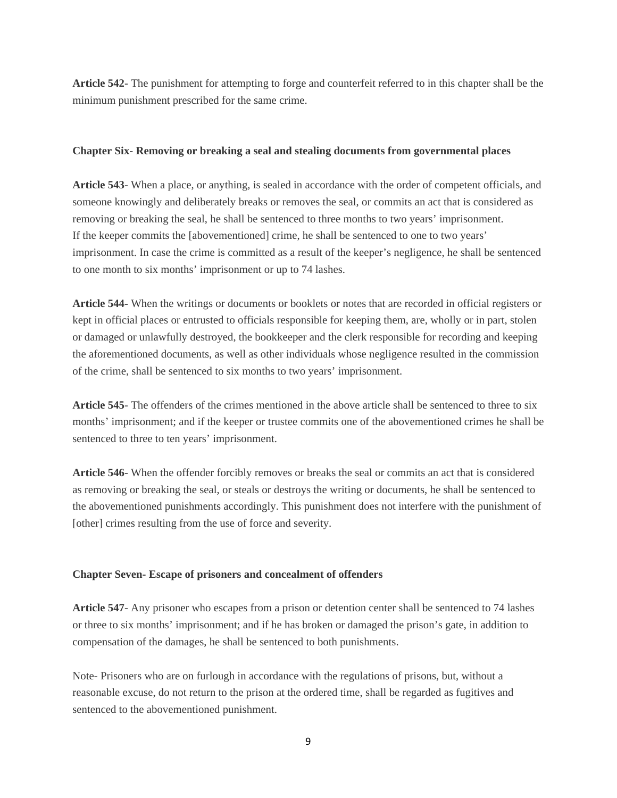**Article 542**- The punishment for attempting to forge and counterfeit referred to in this chapter shall be the minimum punishment prescribed for the same crime.

#### **Chapter Six- Removing or breaking a seal and stealing documents from governmental places**

**Article 543**- When a place, or anything, is sealed in accordance with the order of competent officials, and someone knowingly and deliberately breaks or removes the seal, or commits an act that is considered as removing or breaking the seal, he shall be sentenced to three months to two years' imprisonment. If the keeper commits the [abovementioned] crime, he shall be sentenced to one to two years' imprisonment. In case the crime is committed as a result of the keeper's negligence, he shall be sentenced to one month to six months' imprisonment or up to 74 lashes.

**Article 544**- When the writings or documents or booklets or notes that are recorded in official registers or kept in official places or entrusted to officials responsible for keeping them, are, wholly or in part, stolen or damaged or unlawfully destroyed, the bookkeeper and the clerk responsible for recording and keeping the aforementioned documents, as well as other individuals whose negligence resulted in the commission of the crime, shall be sentenced to six months to two years' imprisonment.

**Article 545**- The offenders of the crimes mentioned in the above article shall be sentenced to three to six months' imprisonment; and if the keeper or trustee commits one of the abovementioned crimes he shall be sentenced to three to ten years' imprisonment.

**Article 546**- When the offender forcibly removes or breaks the seal or commits an act that is considered as removing or breaking the seal, or steals or destroys the writing or documents, he shall be sentenced to the abovementioned punishments accordingly. This punishment does not interfere with the punishment of [other] crimes resulting from the use of force and severity.

#### **Chapter Seven- Escape of prisoners and concealment of offenders**

**Article 547**- Any prisoner who escapes from a prison or detention center shall be sentenced to 74 lashes or three to six months' imprisonment; and if he has broken or damaged the prison's gate, in addition to compensation of the damages, he shall be sentenced to both punishments.

Note- Prisoners who are on furlough in accordance with the regulations of prisons, but, without a reasonable excuse, do not return to the prison at the ordered time, shall be regarded as fugitives and sentenced to the abovementioned punishment.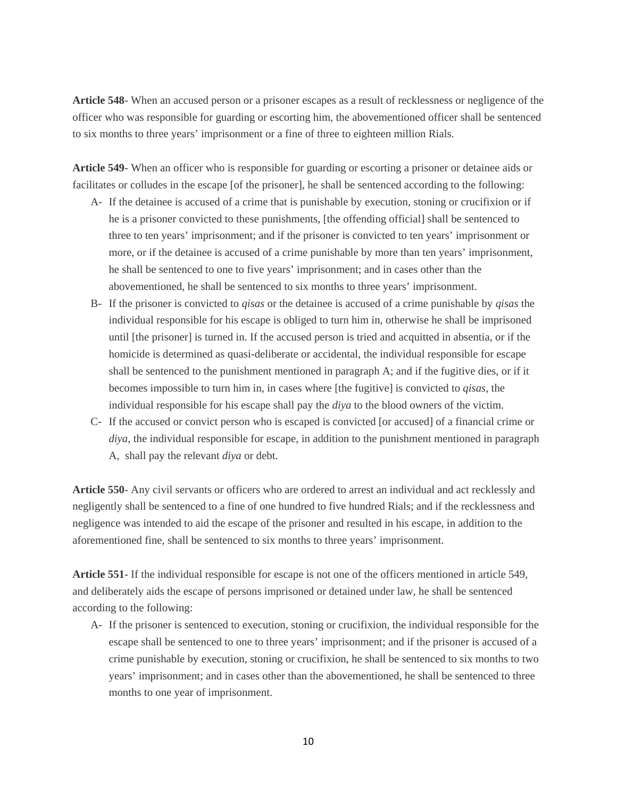**Article 548**- When an accused person or a prisoner escapes as a result of recklessness or negligence of the officer who was responsible for guarding or escorting him, the abovementioned officer shall be sentenced to six months to three years' imprisonment or a fine of three to eighteen million Rials.

**Article 549**- When an officer who is responsible for guarding or escorting a prisoner or detainee aids or facilitates or colludes in the escape [of the prisoner], he shall be sentenced according to the following:

- A- If the detainee is accused of a crime that is punishable by execution, stoning or crucifixion or if he is a prisoner convicted to these punishments, [the offending official] shall be sentenced to three to ten years' imprisonment; and if the prisoner is convicted to ten years' imprisonment or more, or if the detainee is accused of a crime punishable by more than ten years' imprisonment, he shall be sentenced to one to five years' imprisonment; and in cases other than the abovementioned, he shall be sentenced to six months to three years' imprisonment.
- B- If the prisoner is convicted to *qisas* or the detainee is accused of a crime punishable by *qisas* the individual responsible for his escape is obliged to turn him in, otherwise he shall be imprisoned until [the prisoner] is turned in. If the accused person is tried and acquitted in absentia, or if the homicide is determined as quasi-deliberate or accidental, the individual responsible for escape shall be sentenced to the punishment mentioned in paragraph A; and if the fugitive dies, or if it becomes impossible to turn him in, in cases where [the fugitive] is convicted to *qisas*, the individual responsible for his escape shall pay the *diya* to the blood owners of the victim.
- C- If the accused or convict person who is escaped is convicted [or accused] of a financial crime or *diya*, the individual responsible for escape, in addition to the punishment mentioned in paragraph A, shall pay the relevant *diya* or debt.

**Article 550**- Any civil servants or officers who are ordered to arrest an individual and act recklessly and negligently shall be sentenced to a fine of one hundred to five hundred Rials; and if the recklessness and negligence was intended to aid the escape of the prisoner and resulted in his escape, in addition to the aforementioned fine, shall be sentenced to six months to three years' imprisonment.

**Article 551**- If the individual responsible for escape is not one of the officers mentioned in article 549, and deliberately aids the escape of persons imprisoned or detained under law, he shall be sentenced according to the following:

A- If the prisoner is sentenced to execution, stoning or crucifixion, the individual responsible for the escape shall be sentenced to one to three years' imprisonment; and if the prisoner is accused of a crime punishable by execution, stoning or crucifixion, he shall be sentenced to six months to two years' imprisonment; and in cases other than the abovementioned, he shall be sentenced to three months to one year of imprisonment.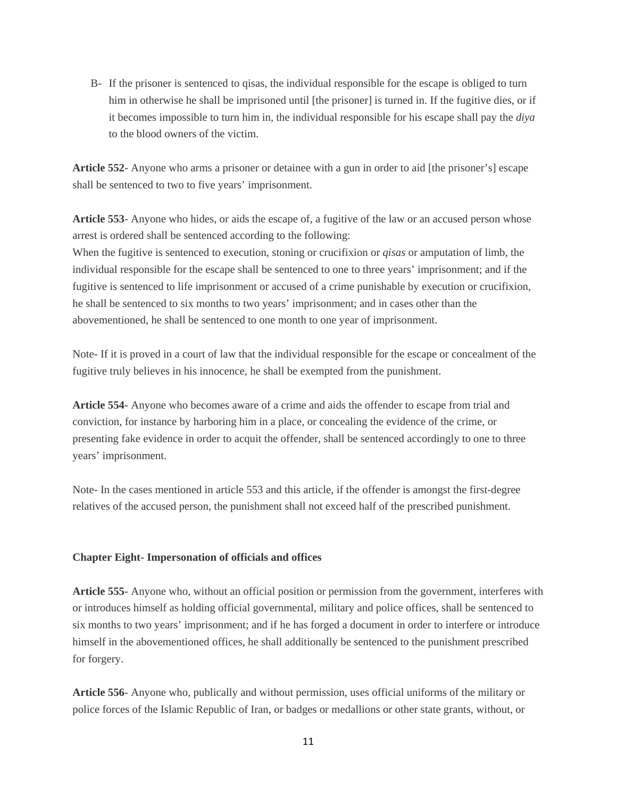B- If the prisoner is sentenced to qisas, the individual responsible for the escape is obliged to turn him in otherwise he shall be imprisoned until [the prisoner] is turned in. If the fugitive dies, or if it becomes impossible to turn him in, the individual responsible for his escape shall pay the *diya* to the blood owners of the victim.

**Article 552**- Anyone who arms a prisoner or detainee with a gun in order to aid [the prisoner's] escape shall be sentenced to two to five years' imprisonment.

**Article 553**- Anyone who hides, or aids the escape of, a fugitive of the law or an accused person whose arrest is ordered shall be sentenced according to the following:

When the fugitive is sentenced to execution, stoning or crucifixion or *qisas* or amputation of limb, the individual responsible for the escape shall be sentenced to one to three years' imprisonment; and if the fugitive is sentenced to life imprisonment or accused of a crime punishable by execution or crucifixion, he shall be sentenced to six months to two years' imprisonment; and in cases other than the abovementioned, he shall be sentenced to one month to one year of imprisonment.

Note- If it is proved in a court of law that the individual responsible for the escape or concealment of the fugitive truly believes in his innocence, he shall be exempted from the punishment.

**Article 554**- Anyone who becomes aware of a crime and aids the offender to escape from trial and conviction, for instance by harboring him in a place, or concealing the evidence of the crime, or presenting fake evidence in order to acquit the offender, shall be sentenced accordingly to one to three years' imprisonment.

Note- In the cases mentioned in article 553 and this article, if the offender is amongst the first-degree relatives of the accused person, the punishment shall not exceed half of the prescribed punishment.

#### **Chapter Eight- Impersonation of officials and offices**

**Article 555**- Anyone who, without an official position or permission from the government, interferes with or introduces himself as holding official governmental, military and police offices, shall be sentenced to six months to two years' imprisonment; and if he has forged a document in order to interfere or introduce himself in the abovementioned offices, he shall additionally be sentenced to the punishment prescribed for forgery.

**Article 556**- Anyone who, publically and without permission, uses official uniforms of the military or police forces of the Islamic Republic of Iran, or badges or medallions or other state grants, without, or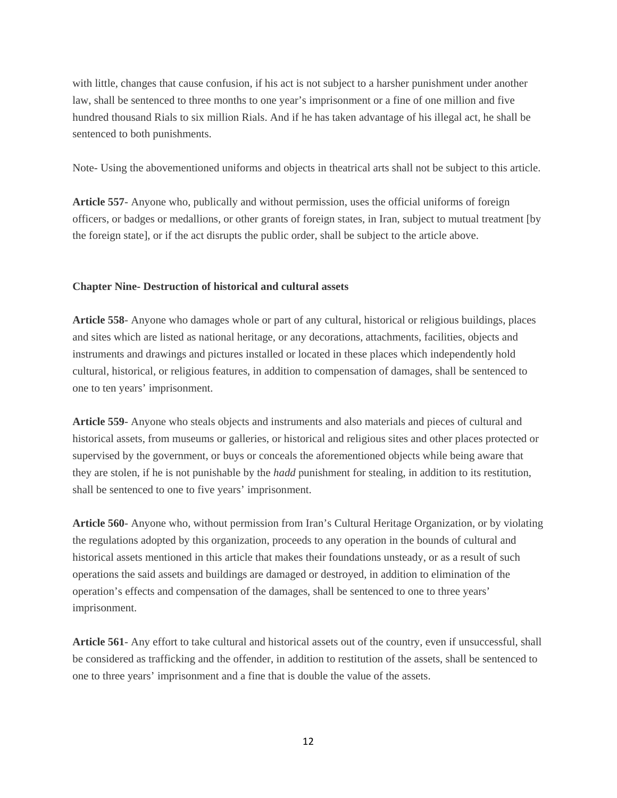with little, changes that cause confusion, if his act is not subject to a harsher punishment under another law, shall be sentenced to three months to one year's imprisonment or a fine of one million and five hundred thousand Rials to six million Rials. And if he has taken advantage of his illegal act, he shall be sentenced to both punishments.

Note- Using the abovementioned uniforms and objects in theatrical arts shall not be subject to this article.

**Article 557**- Anyone who, publically and without permission, uses the official uniforms of foreign officers, or badges or medallions, or other grants of foreign states, in Iran, subject to mutual treatment [by the foreign state], or if the act disrupts the public order, shall be subject to the article above.

# **Chapter Nine- Destruction of historical and cultural assets**

**Article 558**- Anyone who damages whole or part of any cultural, historical or religious buildings, places and sites which are listed as national heritage, or any decorations, attachments, facilities, objects and instruments and drawings and pictures installed or located in these places which independently hold cultural, historical, or religious features, in addition to compensation of damages, shall be sentenced to one to ten years' imprisonment.

**Article 559**- Anyone who steals objects and instruments and also materials and pieces of cultural and historical assets, from museums or galleries, or historical and religious sites and other places protected or supervised by the government, or buys or conceals the aforementioned objects while being aware that they are stolen, if he is not punishable by the *hadd* punishment for stealing, in addition to its restitution, shall be sentenced to one to five years' imprisonment.

**Article 560**- Anyone who, without permission from Iran's Cultural Heritage Organization, or by violating the regulations adopted by this organization, proceeds to any operation in the bounds of cultural and historical assets mentioned in this article that makes their foundations unsteady, or as a result of such operations the said assets and buildings are damaged or destroyed, in addition to elimination of the operation's effects and compensation of the damages, shall be sentenced to one to three years' imprisonment.

**Article 561**- Any effort to take cultural and historical assets out of the country, even if unsuccessful, shall be considered as trafficking and the offender, in addition to restitution of the assets, shall be sentenced to one to three years' imprisonment and a fine that is double the value of the assets.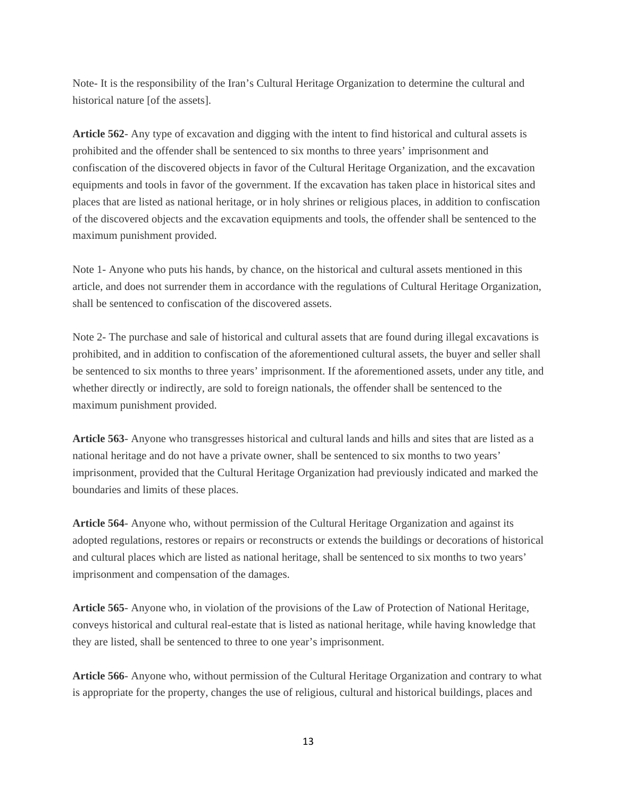Note- It is the responsibility of the Iran's Cultural Heritage Organization to determine the cultural and historical nature [of the assets].

**Article 562**- Any type of excavation and digging with the intent to find historical and cultural assets is prohibited and the offender shall be sentenced to six months to three years' imprisonment and confiscation of the discovered objects in favor of the Cultural Heritage Organization, and the excavation equipments and tools in favor of the government. If the excavation has taken place in historical sites and places that are listed as national heritage, or in holy shrines or religious places, in addition to confiscation of the discovered objects and the excavation equipments and tools, the offender shall be sentenced to the maximum punishment provided.

Note 1- Anyone who puts his hands, by chance, on the historical and cultural assets mentioned in this article, and does not surrender them in accordance with the regulations of Cultural Heritage Organization, shall be sentenced to confiscation of the discovered assets.

Note 2- The purchase and sale of historical and cultural assets that are found during illegal excavations is prohibited, and in addition to confiscation of the aforementioned cultural assets, the buyer and seller shall be sentenced to six months to three years' imprisonment. If the aforementioned assets, under any title, and whether directly or indirectly, are sold to foreign nationals, the offender shall be sentenced to the maximum punishment provided.

**Article 563**- Anyone who transgresses historical and cultural lands and hills and sites that are listed as a national heritage and do not have a private owner, shall be sentenced to six months to two years' imprisonment, provided that the Cultural Heritage Organization had previously indicated and marked the boundaries and limits of these places.

**Article 564**- Anyone who, without permission of the Cultural Heritage Organization and against its adopted regulations, restores or repairs or reconstructs or extends the buildings or decorations of historical and cultural places which are listed as national heritage, shall be sentenced to six months to two years' imprisonment and compensation of the damages.

**Article 565**- Anyone who, in violation of the provisions of the Law of Protection of National Heritage, conveys historical and cultural real-estate that is listed as national heritage, while having knowledge that they are listed, shall be sentenced to three to one year's imprisonment.

**Article 566**- Anyone who, without permission of the Cultural Heritage Organization and contrary to what is appropriate for the property, changes the use of religious, cultural and historical buildings, places and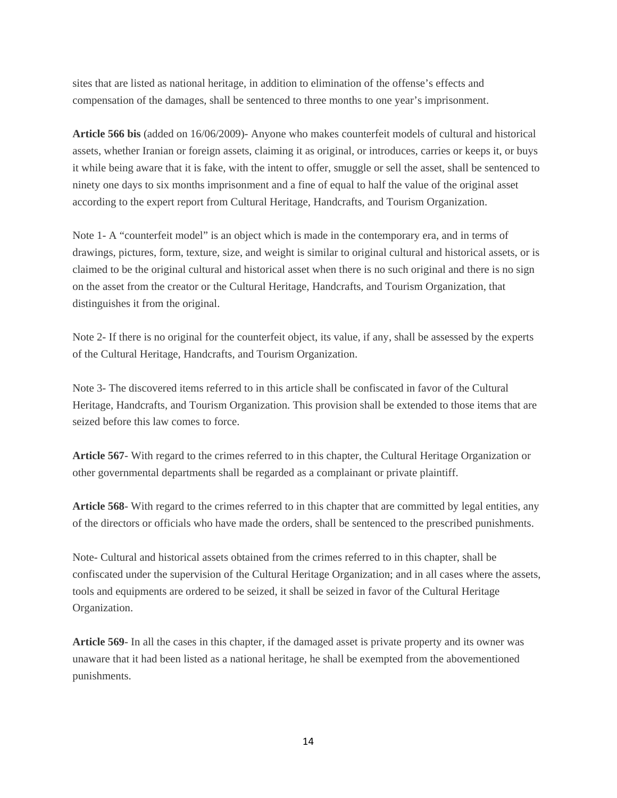sites that are listed as national heritage, in addition to elimination of the offense's effects and compensation of the damages, shall be sentenced to three months to one year's imprisonment.

**Article 566 bis** (added on 16/06/2009)- Anyone who makes counterfeit models of cultural and historical assets, whether Iranian or foreign assets, claiming it as original, or introduces, carries or keeps it, or buys it while being aware that it is fake, with the intent to offer, smuggle or sell the asset, shall be sentenced to ninety one days to six months imprisonment and a fine of equal to half the value of the original asset according to the expert report from Cultural Heritage, Handcrafts, and Tourism Organization.

Note 1- A "counterfeit model" is an object which is made in the contemporary era, and in terms of drawings, pictures, form, texture, size, and weight is similar to original cultural and historical assets, or is claimed to be the original cultural and historical asset when there is no such original and there is no sign on the asset from the creator or the Cultural Heritage, Handcrafts, and Tourism Organization, that distinguishes it from the original.

Note 2- If there is no original for the counterfeit object, its value, if any, shall be assessed by the experts of the Cultural Heritage, Handcrafts, and Tourism Organization.

Note 3- The discovered items referred to in this article shall be confiscated in favor of the Cultural Heritage, Handcrafts, and Tourism Organization. This provision shall be extended to those items that are seized before this law comes to force.

**Article 567**- With regard to the crimes referred to in this chapter, the Cultural Heritage Organization or other governmental departments shall be regarded as a complainant or private plaintiff.

**Article 568**- With regard to the crimes referred to in this chapter that are committed by legal entities, any of the directors or officials who have made the orders, shall be sentenced to the prescribed punishments.

Note- Cultural and historical assets obtained from the crimes referred to in this chapter, shall be confiscated under the supervision of the Cultural Heritage Organization; and in all cases where the assets, tools and equipments are ordered to be seized, it shall be seized in favor of the Cultural Heritage Organization.

**Article 569**- In all the cases in this chapter, if the damaged asset is private property and its owner was unaware that it had been listed as a national heritage, he shall be exempted from the abovementioned punishments.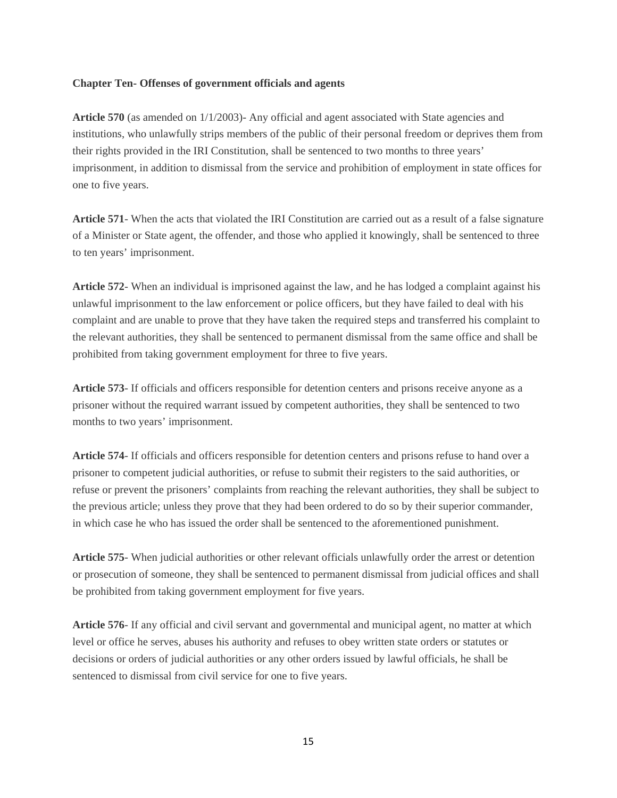# **Chapter Ten- Offenses of government officials and agents**

Article 570 (as amended on  $1/1/2003$ )- Any official and agent associated with State agencies and institutions, who unlawfully strips members of the public of their personal freedom or deprives them from their rights provided in the IRI Constitution, shall be sentenced to two months to three years' imprisonment, in addition to dismissal from the service and prohibition of employment in state offices for one to five years.

**Article 571**- When the acts that violated the IRI Constitution are carried out as a result of a false signature of a Minister or State agent, the offender, and those who applied it knowingly, shall be sentenced to three to ten years' imprisonment.

**Article 572**- When an individual is imprisoned against the law, and he has lodged a complaint against his unlawful imprisonment to the law enforcement or police officers, but they have failed to deal with his complaint and are unable to prove that they have taken the required steps and transferred his complaint to the relevant authorities, they shall be sentenced to permanent dismissal from the same office and shall be prohibited from taking government employment for three to five years.

**Article 573**- If officials and officers responsible for detention centers and prisons receive anyone as a prisoner without the required warrant issued by competent authorities, they shall be sentenced to two months to two years' imprisonment.

**Article 574**- If officials and officers responsible for detention centers and prisons refuse to hand over a prisoner to competent judicial authorities, or refuse to submit their registers to the said authorities, or refuse or prevent the prisoners' complaints from reaching the relevant authorities, they shall be subject to the previous article; unless they prove that they had been ordered to do so by their superior commander, in which case he who has issued the order shall be sentenced to the aforementioned punishment.

**Article 575**- When judicial authorities or other relevant officials unlawfully order the arrest or detention or prosecution of someone, they shall be sentenced to permanent dismissal from judicial offices and shall be prohibited from taking government employment for five years.

**Article 576**- If any official and civil servant and governmental and municipal agent, no matter at which level or office he serves, abuses his authority and refuses to obey written state orders or statutes or decisions or orders of judicial authorities or any other orders issued by lawful officials, he shall be sentenced to dismissal from civil service for one to five years.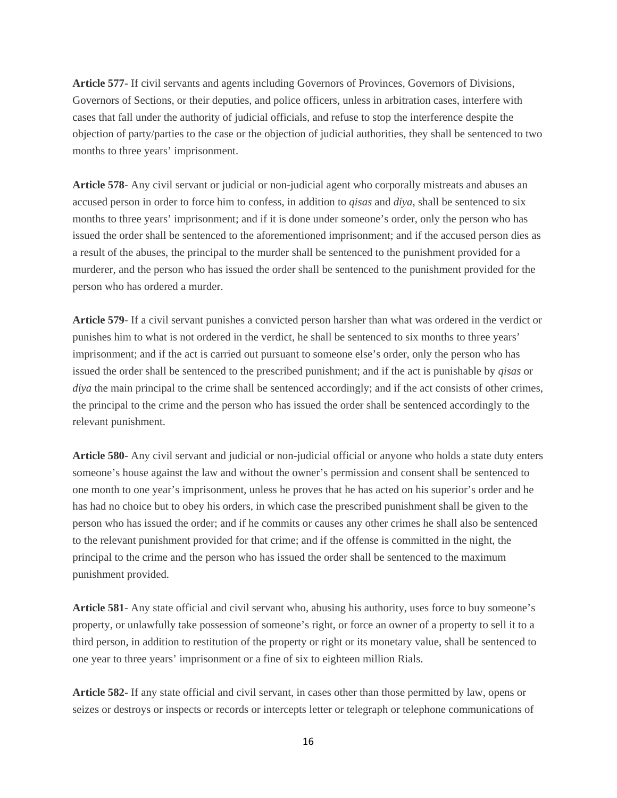**Article 577**- If civil servants and agents including Governors of Provinces, Governors of Divisions, Governors of Sections, or their deputies, and police officers, unless in arbitration cases, interfere with cases that fall under the authority of judicial officials, and refuse to stop the interference despite the objection of party/parties to the case or the objection of judicial authorities, they shall be sentenced to two months to three years' imprisonment.

**Article 578**- Any civil servant or judicial or non-judicial agent who corporally mistreats and abuses an accused person in order to force him to confess, in addition to *qisas* and *diya*, shall be sentenced to six months to three years' imprisonment; and if it is done under someone's order, only the person who has issued the order shall be sentenced to the aforementioned imprisonment; and if the accused person dies as a result of the abuses, the principal to the murder shall be sentenced to the punishment provided for a murderer, and the person who has issued the order shall be sentenced to the punishment provided for the person who has ordered a murder.

**Article 579**- If a civil servant punishes a convicted person harsher than what was ordered in the verdict or punishes him to what is not ordered in the verdict, he shall be sentenced to six months to three years' imprisonment; and if the act is carried out pursuant to someone else's order, only the person who has issued the order shall be sentenced to the prescribed punishment; and if the act is punishable by *qisas* or *diya* the main principal to the crime shall be sentenced accordingly; and if the act consists of other crimes, the principal to the crime and the person who has issued the order shall be sentenced accordingly to the relevant punishment.

**Article 580**- Any civil servant and judicial or non-judicial official or anyone who holds a state duty enters someone's house against the law and without the owner's permission and consent shall be sentenced to one month to one year's imprisonment, unless he proves that he has acted on his superior's order and he has had no choice but to obey his orders, in which case the prescribed punishment shall be given to the person who has issued the order; and if he commits or causes any other crimes he shall also be sentenced to the relevant punishment provided for that crime; and if the offense is committed in the night, the principal to the crime and the person who has issued the order shall be sentenced to the maximum punishment provided.

**Article 581**- Any state official and civil servant who, abusing his authority, uses force to buy someone's property, or unlawfully take possession of someone's right, or force an owner of a property to sell it to a third person, in addition to restitution of the property or right or its monetary value, shall be sentenced to one year to three years' imprisonment or a fine of six to eighteen million Rials.

**Article 582**- If any state official and civil servant, in cases other than those permitted by law, opens or seizes or destroys or inspects or records or intercepts letter or telegraph or telephone communications of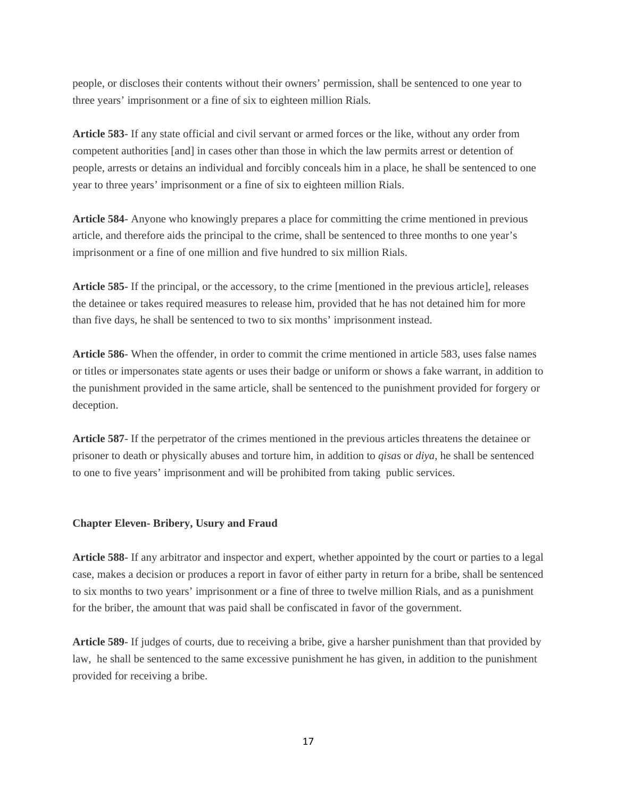people, or discloses their contents without their owners' permission, shall be sentenced to one year to three years' imprisonment or a fine of six to eighteen million Rials.

**Article 583**- If any state official and civil servant or armed forces or the like, without any order from competent authorities [and] in cases other than those in which the law permits arrest or detention of people, arrests or detains an individual and forcibly conceals him in a place, he shall be sentenced to one year to three years' imprisonment or a fine of six to eighteen million Rials.

**Article 584**- Anyone who knowingly prepares a place for committing the crime mentioned in previous article, and therefore aids the principal to the crime, shall be sentenced to three months to one year's imprisonment or a fine of one million and five hundred to six million Rials.

**Article 585**- If the principal, or the accessory, to the crime [mentioned in the previous article], releases the detainee or takes required measures to release him, provided that he has not detained him for more than five days, he shall be sentenced to two to six months' imprisonment instead.

**Article 586**- When the offender, in order to commit the crime mentioned in article 583, uses false names or titles or impersonates state agents or uses their badge or uniform or shows a fake warrant, in addition to the punishment provided in the same article, shall be sentenced to the punishment provided for forgery or deception.

**Article 587**- If the perpetrator of the crimes mentioned in the previous articles threatens the detainee or prisoner to death or physically abuses and torture him, in addition to *qisas* or *diya*, he shall be sentenced to one to five years' imprisonment and will be prohibited from taking public services.

#### **Chapter Eleven- Bribery, Usury and Fraud**

**Article 588**- If any arbitrator and inspector and expert, whether appointed by the court or parties to a legal case, makes a decision or produces a report in favor of either party in return for a bribe, shall be sentenced to six months to two years' imprisonment or a fine of three to twelve million Rials, and as a punishment for the briber, the amount that was paid shall be confiscated in favor of the government.

**Article 589**- If judges of courts, due to receiving a bribe, give a harsher punishment than that provided by law, he shall be sentenced to the same excessive punishment he has given, in addition to the punishment provided for receiving a bribe.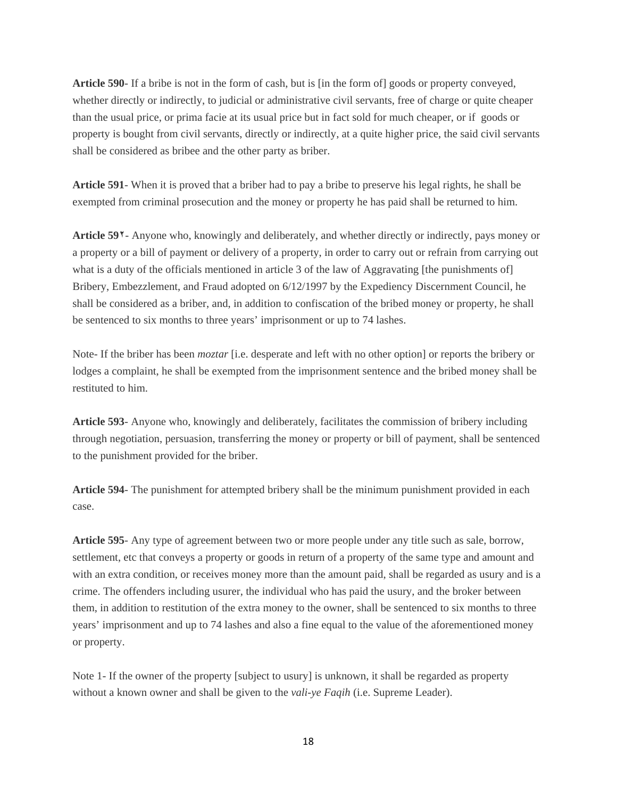**Article 590**- If a bribe is not in the form of cash, but is [in the form of] goods or property conveyed, whether directly or indirectly, to judicial or administrative civil servants, free of charge or quite cheaper than the usual price, or prima facie at its usual price but in fact sold for much cheaper, or if goods or property is bought from civil servants, directly or indirectly, at a quite higher price, the said civil servants shall be considered as bribee and the other party as briber.

**Article 591**- When it is proved that a briber had to pay a bribe to preserve his legal rights, he shall be exempted from criminal prosecution and the money or property he has paid shall be returned to him.

**Article 59٢**- Anyone who, knowingly and deliberately, and whether directly or indirectly, pays money or a property or a bill of payment or delivery of a property, in order to carry out or refrain from carrying out what is a duty of the officials mentioned in article 3 of the law of Aggravating [the punishments of] Bribery, Embezzlement, and Fraud adopted on 6/12/1997 by the Expediency Discernment Council, he shall be considered as a briber, and, in addition to confiscation of the bribed money or property, he shall be sentenced to six months to three years' imprisonment or up to 74 lashes.

Note- If the briber has been *moztar* [i.e. desperate and left with no other option] or reports the bribery or lodges a complaint, he shall be exempted from the imprisonment sentence and the bribed money shall be restituted to him.

**Article 593**- Anyone who, knowingly and deliberately, facilitates the commission of bribery including through negotiation, persuasion, transferring the money or property or bill of payment, shall be sentenced to the punishment provided for the briber.

**Article 594**- The punishment for attempted bribery shall be the minimum punishment provided in each case.

**Article 595**- Any type of agreement between two or more people under any title such as sale, borrow, settlement, etc that conveys a property or goods in return of a property of the same type and amount and with an extra condition, or receives money more than the amount paid, shall be regarded as usury and is a crime. The offenders including usurer, the individual who has paid the usury, and the broker between them, in addition to restitution of the extra money to the owner, shall be sentenced to six months to three years' imprisonment and up to 74 lashes and also a fine equal to the value of the aforementioned money or property.

Note 1- If the owner of the property [subject to usury] is unknown, it shall be regarded as property without a known owner and shall be given to the *vali-ye Faqih* (i.e. Supreme Leader).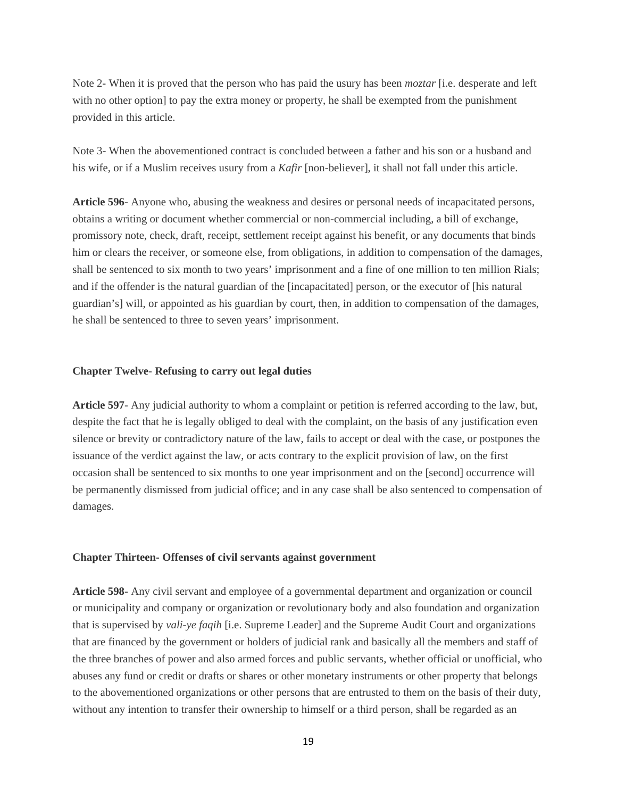Note 2- When it is proved that the person who has paid the usury has been *moztar* [i.e. desperate and left with no other option] to pay the extra money or property, he shall be exempted from the punishment provided in this article.

Note 3- When the abovementioned contract is concluded between a father and his son or a husband and his wife, or if a Muslim receives usury from a *Kafir* [non-believer], it shall not fall under this article.

**Article 596**- Anyone who, abusing the weakness and desires or personal needs of incapacitated persons, obtains a writing or document whether commercial or non-commercial including, a bill of exchange, promissory note, check, draft, receipt, settlement receipt against his benefit, or any documents that binds him or clears the receiver, or someone else, from obligations, in addition to compensation of the damages, shall be sentenced to six month to two years' imprisonment and a fine of one million to ten million Rials; and if the offender is the natural guardian of the [incapacitated] person, or the executor of [his natural guardian's] will, or appointed as his guardian by court, then, in addition to compensation of the damages, he shall be sentenced to three to seven years' imprisonment.

#### **Chapter Twelve- Refusing to carry out legal duties**

**Article 597**- Any judicial authority to whom a complaint or petition is referred according to the law, but, despite the fact that he is legally obliged to deal with the complaint, on the basis of any justification even silence or brevity or contradictory nature of the law, fails to accept or deal with the case, or postpones the issuance of the verdict against the law, or acts contrary to the explicit provision of law, on the first occasion shall be sentenced to six months to one year imprisonment and on the [second] occurrence will be permanently dismissed from judicial office; and in any case shall be also sentenced to compensation of damages.

#### **Chapter Thirteen- Offenses of civil servants against government**

**Article 598**- Any civil servant and employee of a governmental department and organization or council or municipality and company or organization or revolutionary body and also foundation and organization that is supervised by *vali-ye faqih* [i.e. Supreme Leader] and the Supreme Audit Court and organizations that are financed by the government or holders of judicial rank and basically all the members and staff of the three branches of power and also armed forces and public servants, whether official or unofficial, who abuses any fund or credit or drafts or shares or other monetary instruments or other property that belongs to the abovementioned organizations or other persons that are entrusted to them on the basis of their duty, without any intention to transfer their ownership to himself or a third person, shall be regarded as an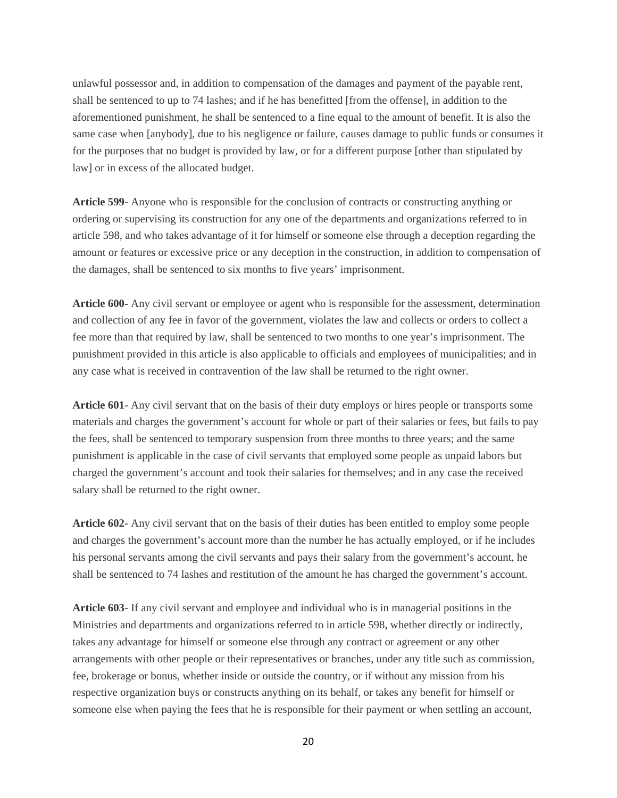unlawful possessor and, in addition to compensation of the damages and payment of the payable rent, shall be sentenced to up to 74 lashes; and if he has benefitted [from the offense], in addition to the aforementioned punishment, he shall be sentenced to a fine equal to the amount of benefit. It is also the same case when [anybody], due to his negligence or failure, causes damage to public funds or consumes it for the purposes that no budget is provided by law, or for a different purpose [other than stipulated by law] or in excess of the allocated budget.

**Article 599**- Anyone who is responsible for the conclusion of contracts or constructing anything or ordering or supervising its construction for any one of the departments and organizations referred to in article 598, and who takes advantage of it for himself or someone else through a deception regarding the amount or features or excessive price or any deception in the construction, in addition to compensation of the damages, shall be sentenced to six months to five years' imprisonment.

**Article 600**- Any civil servant or employee or agent who is responsible for the assessment, determination and collection of any fee in favor of the government, violates the law and collects or orders to collect a fee more than that required by law, shall be sentenced to two months to one year's imprisonment. The punishment provided in this article is also applicable to officials and employees of municipalities; and in any case what is received in contravention of the law shall be returned to the right owner.

**Article 601**- Any civil servant that on the basis of their duty employs or hires people or transports some materials and charges the government's account for whole or part of their salaries or fees, but fails to pay the fees, shall be sentenced to temporary suspension from three months to three years; and the same punishment is applicable in the case of civil servants that employed some people as unpaid labors but charged the government's account and took their salaries for themselves; and in any case the received salary shall be returned to the right owner.

**Article 602**- Any civil servant that on the basis of their duties has been entitled to employ some people and charges the government's account more than the number he has actually employed, or if he includes his personal servants among the civil servants and pays their salary from the government's account, he shall be sentenced to 74 lashes and restitution of the amount he has charged the government's account.

**Article 603**- If any civil servant and employee and individual who is in managerial positions in the Ministries and departments and organizations referred to in article 598, whether directly or indirectly, takes any advantage for himself or someone else through any contract or agreement or any other arrangements with other people or their representatives or branches, under any title such as commission, fee, brokerage or bonus, whether inside or outside the country, or if without any mission from his respective organization buys or constructs anything on its behalf, or takes any benefit for himself or someone else when paying the fees that he is responsible for their payment or when settling an account,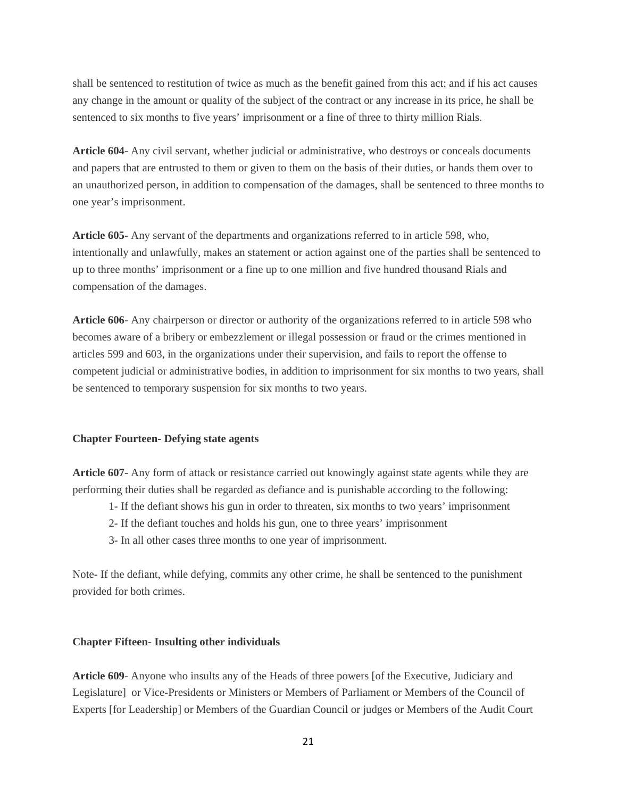shall be sentenced to restitution of twice as much as the benefit gained from this act; and if his act causes any change in the amount or quality of the subject of the contract or any increase in its price, he shall be sentenced to six months to five years' imprisonment or a fine of three to thirty million Rials.

**Article 604**- Any civil servant, whether judicial or administrative, who destroys or conceals documents and papers that are entrusted to them or given to them on the basis of their duties, or hands them over to an unauthorized person, in addition to compensation of the damages, shall be sentenced to three months to one year's imprisonment.

**Article 605**- Any servant of the departments and organizations referred to in article 598, who, intentionally and unlawfully, makes an statement or action against one of the parties shall be sentenced to up to three months' imprisonment or a fine up to one million and five hundred thousand Rials and compensation of the damages.

**Article 606**- Any chairperson or director or authority of the organizations referred to in article 598 who becomes aware of a bribery or embezzlement or illegal possession or fraud or the crimes mentioned in articles 599 and 603, in the organizations under their supervision, and fails to report the offense to competent judicial or administrative bodies, in addition to imprisonment for six months to two years, shall be sentenced to temporary suspension for six months to two years.

#### **Chapter Fourteen- Defying state agents**

**Article 607**- Any form of attack or resistance carried out knowingly against state agents while they are performing their duties shall be regarded as defiance and is punishable according to the following:

- 1- If the defiant shows his gun in order to threaten, six months to two years' imprisonment
- 2- If the defiant touches and holds his gun, one to three years' imprisonment
- 3- In all other cases three months to one year of imprisonment.

Note- If the defiant, while defying, commits any other crime, he shall be sentenced to the punishment provided for both crimes.

#### **Chapter Fifteen- Insulting other individuals**

**Article 609**- Anyone who insults any of the Heads of three powers [of the Executive, Judiciary and Legislature] or Vice-Presidents or Ministers or Members of Parliament or Members of the Council of Experts [for Leadership] or Members of the Guardian Council or judges or Members of the Audit Court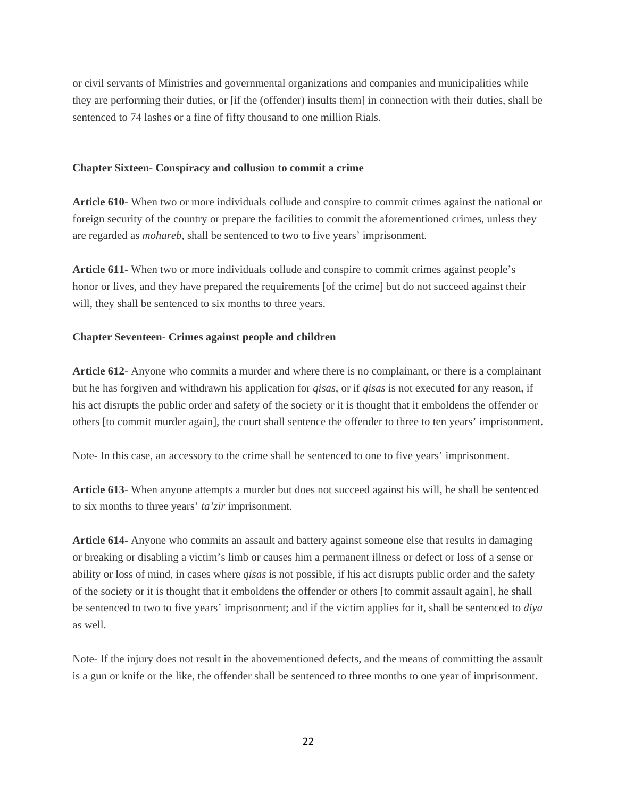or civil servants of Ministries and governmental organizations and companies and municipalities while they are performing their duties, or [if the (offender) insults them] in connection with their duties, shall be sentenced to 74 lashes or a fine of fifty thousand to one million Rials.

#### **Chapter Sixteen- Conspiracy and collusion to commit a crime**

**Article 610**- When two or more individuals collude and conspire to commit crimes against the national or foreign security of the country or prepare the facilities to commit the aforementioned crimes, unless they are regarded as *mohareb*, shall be sentenced to two to five years' imprisonment.

**Article 611**- When two or more individuals collude and conspire to commit crimes against people's honor or lives, and they have prepared the requirements [of the crime] but do not succeed against their will, they shall be sentenced to six months to three years.

#### **Chapter Seventeen- Crimes against people and children**

**Article 612**- Anyone who commits a murder and where there is no complainant, or there is a complainant but he has forgiven and withdrawn his application for *qisas*, or if *qisas* is not executed for any reason, if his act disrupts the public order and safety of the society or it is thought that it emboldens the offender or others [to commit murder again], the court shall sentence the offender to three to ten years' imprisonment.

Note- In this case, an accessory to the crime shall be sentenced to one to five years' imprisonment.

**Article 613**- When anyone attempts a murder but does not succeed against his will, he shall be sentenced to six months to three years' *ta'zir* imprisonment.

**Article 614**- Anyone who commits an assault and battery against someone else that results in damaging or breaking or disabling a victim's limb or causes him a permanent illness or defect or loss of a sense or ability or loss of mind, in cases where *qisas* is not possible, if his act disrupts public order and the safety of the society or it is thought that it emboldens the offender or others [to commit assault again], he shall be sentenced to two to five years' imprisonment; and if the victim applies for it, shall be sentenced to *diya* as well.

Note- If the injury does not result in the abovementioned defects, and the means of committing the assault is a gun or knife or the like, the offender shall be sentenced to three months to one year of imprisonment.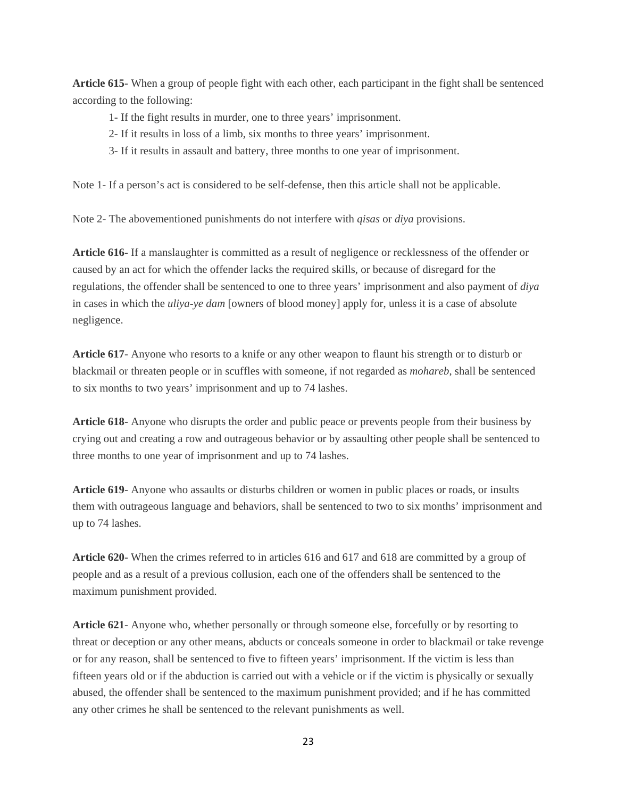**Article 615**- When a group of people fight with each other, each participant in the fight shall be sentenced according to the following:

- 1- If the fight results in murder, one to three years' imprisonment.
- 2- If it results in loss of a limb, six months to three years' imprisonment.
- 3- If it results in assault and battery, three months to one year of imprisonment.

Note 1- If a person's act is considered to be self-defense, then this article shall not be applicable.

Note 2- The abovementioned punishments do not interfere with *qisas* or *diya* provisions.

**Article 616**- If a manslaughter is committed as a result of negligence or recklessness of the offender or caused by an act for which the offender lacks the required skills, or because of disregard for the regulations, the offender shall be sentenced to one to three years' imprisonment and also payment of *diya* in cases in which the *uliya-ye dam* [owners of blood money] apply for, unless it is a case of absolute negligence.

**Article 617**- Anyone who resorts to a knife or any other weapon to flaunt his strength or to disturb or blackmail or threaten people or in scuffles with someone, if not regarded as *mohareb*, shall be sentenced to six months to two years' imprisonment and up to 74 lashes.

**Article 618**- Anyone who disrupts the order and public peace or prevents people from their business by crying out and creating a row and outrageous behavior or by assaulting other people shall be sentenced to three months to one year of imprisonment and up to 74 lashes.

**Article 619**- Anyone who assaults or disturbs children or women in public places or roads, or insults them with outrageous language and behaviors, shall be sentenced to two to six months' imprisonment and up to 74 lashes.

**Article 620**- When the crimes referred to in articles 616 and 617 and 618 are committed by a group of people and as a result of a previous collusion, each one of the offenders shall be sentenced to the maximum punishment provided.

**Article 621**- Anyone who, whether personally or through someone else, forcefully or by resorting to threat or deception or any other means, abducts or conceals someone in order to blackmail or take revenge or for any reason, shall be sentenced to five to fifteen years' imprisonment. If the victim is less than fifteen years old or if the abduction is carried out with a vehicle or if the victim is physically or sexually abused, the offender shall be sentenced to the maximum punishment provided; and if he has committed any other crimes he shall be sentenced to the relevant punishments as well.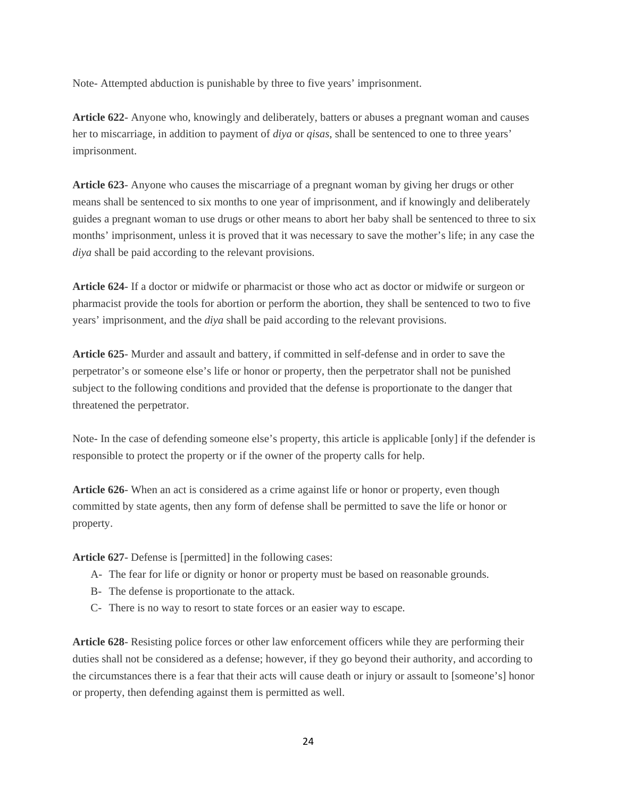Note- Attempted abduction is punishable by three to five years' imprisonment.

**Article 622**- Anyone who, knowingly and deliberately, batters or abuses a pregnant woman and causes her to miscarriage, in addition to payment of *diya* or *qisas*, shall be sentenced to one to three years' imprisonment.

**Article 623**- Anyone who causes the miscarriage of a pregnant woman by giving her drugs or other means shall be sentenced to six months to one year of imprisonment, and if knowingly and deliberately guides a pregnant woman to use drugs or other means to abort her baby shall be sentenced to three to six months' imprisonment, unless it is proved that it was necessary to save the mother's life; in any case the *diya* shall be paid according to the relevant provisions.

**Article 624**- If a doctor or midwife or pharmacist or those who act as doctor or midwife or surgeon or pharmacist provide the tools for abortion or perform the abortion, they shall be sentenced to two to five years' imprisonment, and the *diya* shall be paid according to the relevant provisions.

**Article 625**- Murder and assault and battery, if committed in self-defense and in order to save the perpetrator's or someone else's life or honor or property, then the perpetrator shall not be punished subject to the following conditions and provided that the defense is proportionate to the danger that threatened the perpetrator.

Note- In the case of defending someone else's property, this article is applicable [only] if the defender is responsible to protect the property or if the owner of the property calls for help.

**Article 626**- When an act is considered as a crime against life or honor or property, even though committed by state agents, then any form of defense shall be permitted to save the life or honor or property.

**Article 627**- Defense is [permitted] in the following cases:

- A- The fear for life or dignity or honor or property must be based on reasonable grounds.
- B- The defense is proportionate to the attack.
- C- There is no way to resort to state forces or an easier way to escape.

**Article 628**- Resisting police forces or other law enforcement officers while they are performing their duties shall not be considered as a defense; however, if they go beyond their authority, and according to the circumstances there is a fear that their acts will cause death or injury or assault to [someone's] honor or property, then defending against them is permitted as well.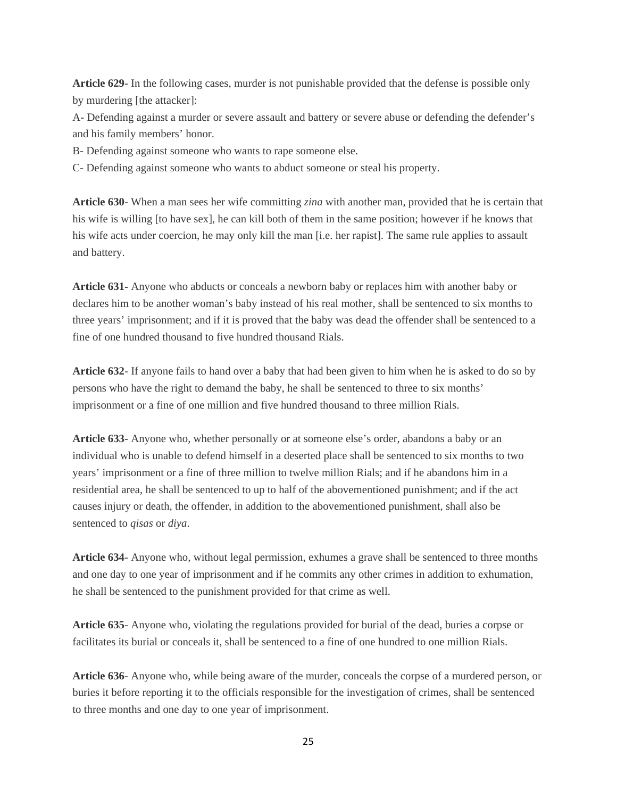**Article 629**- In the following cases, murder is not punishable provided that the defense is possible only by murdering [the attacker]:

A- Defending against a murder or severe assault and battery or severe abuse or defending the defender's and his family members' honor.

B- Defending against someone who wants to rape someone else.

C- Defending against someone who wants to abduct someone or steal his property.

**Article 630**- When a man sees her wife committing *zina* with another man, provided that he is certain that his wife is willing [to have sex], he can kill both of them in the same position; however if he knows that his wife acts under coercion, he may only kill the man [i.e. her rapist]. The same rule applies to assault and battery.

**Article 631**- Anyone who abducts or conceals a newborn baby or replaces him with another baby or declares him to be another woman's baby instead of his real mother, shall be sentenced to six months to three years' imprisonment; and if it is proved that the baby was dead the offender shall be sentenced to a fine of one hundred thousand to five hundred thousand Rials.

**Article 632**- If anyone fails to hand over a baby that had been given to him when he is asked to do so by persons who have the right to demand the baby, he shall be sentenced to three to six months' imprisonment or a fine of one million and five hundred thousand to three million Rials.

**Article 633**- Anyone who, whether personally or at someone else's order, abandons a baby or an individual who is unable to defend himself in a deserted place shall be sentenced to six months to two years' imprisonment or a fine of three million to twelve million Rials; and if he abandons him in a residential area, he shall be sentenced to up to half of the abovementioned punishment; and if the act causes injury or death, the offender, in addition to the abovementioned punishment, shall also be sentenced to *qisas* or *diya*.

**Article 634**- Anyone who, without legal permission, exhumes a grave shall be sentenced to three months and one day to one year of imprisonment and if he commits any other crimes in addition to exhumation, he shall be sentenced to the punishment provided for that crime as well.

**Article 635**- Anyone who, violating the regulations provided for burial of the dead, buries a corpse or facilitates its burial or conceals it, shall be sentenced to a fine of one hundred to one million Rials.

**Article 636**- Anyone who, while being aware of the murder, conceals the corpse of a murdered person, or buries it before reporting it to the officials responsible for the investigation of crimes, shall be sentenced to three months and one day to one year of imprisonment.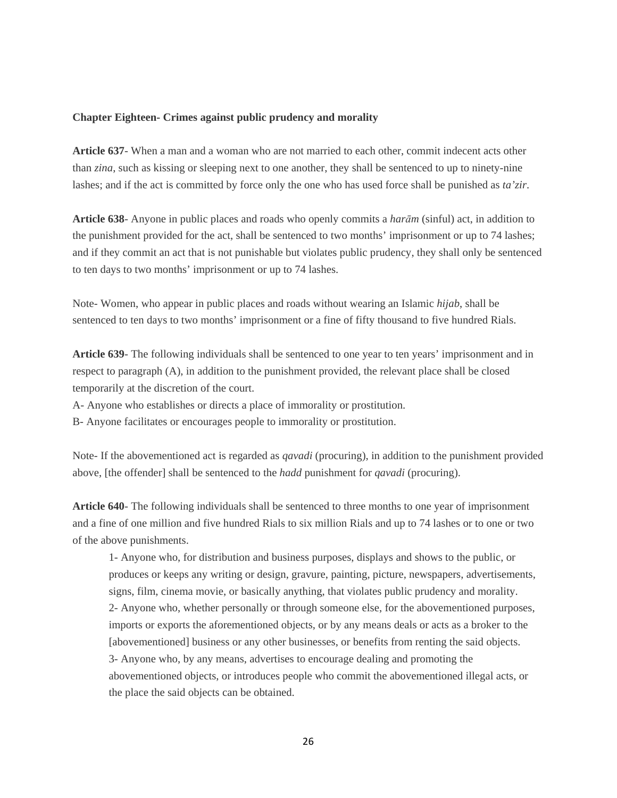#### **Chapter Eighteen- Crimes against public prudency and morality**

**Article 637**- When a man and a woman who are not married to each other, commit indecent acts other than *zina*, such as kissing or sleeping next to one another, they shall be sentenced to up to ninety-nine lashes; and if the act is committed by force only the one who has used force shall be punished as *ta'zir*.

**Article 638**- Anyone in public places and roads who openly commits a *harām* (sinful) act, in addition to the punishment provided for the act, shall be sentenced to two months' imprisonment or up to 74 lashes; and if they commit an act that is not punishable but violates public prudency, they shall only be sentenced to ten days to two months' imprisonment or up to 74 lashes.

Note- Women, who appear in public places and roads without wearing an Islamic *hijab*, shall be sentenced to ten days to two months' imprisonment or a fine of fifty thousand to five hundred Rials.

**Article 639**- The following individuals shall be sentenced to one year to ten years' imprisonment and in respect to paragraph (A), in addition to the punishment provided, the relevant place shall be closed temporarily at the discretion of the court.

A- Anyone who establishes or directs a place of immorality or prostitution.

B- Anyone facilitates or encourages people to immorality or prostitution.

Note- If the abovementioned act is regarded as *qavadi* (procuring), in addition to the punishment provided above, [the offender] shall be sentenced to the *hadd* punishment for *qavadi* (procuring).

**Article 640**- The following individuals shall be sentenced to three months to one year of imprisonment and a fine of one million and five hundred Rials to six million Rials and up to 74 lashes or to one or two of the above punishments.

1- Anyone who, for distribution and business purposes, displays and shows to the public, or produces or keeps any writing or design, gravure, painting, picture, newspapers, advertisements, signs, film, cinema movie, or basically anything, that violates public prudency and morality. 2- Anyone who, whether personally or through someone else, for the abovementioned purposes, imports or exports the aforementioned objects, or by any means deals or acts as a broker to the [abovementioned] business or any other businesses, or benefits from renting the said objects. 3- Anyone who, by any means, advertises to encourage dealing and promoting the abovementioned objects, or introduces people who commit the abovementioned illegal acts, or the place the said objects can be obtained.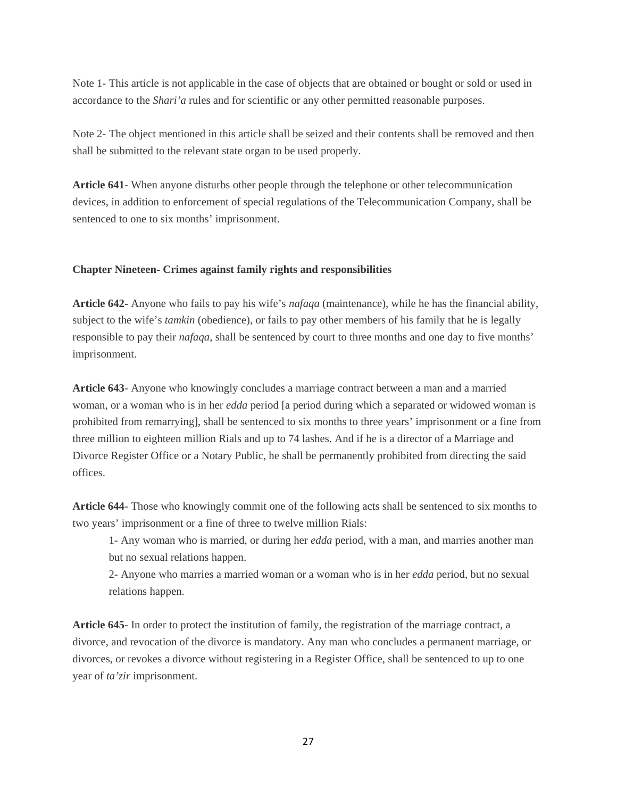Note 1- This article is not applicable in the case of objects that are obtained or bought or sold or used in accordance to the *Shari'a* rules and for scientific or any other permitted reasonable purposes.

Note 2- The object mentioned in this article shall be seized and their contents shall be removed and then shall be submitted to the relevant state organ to be used properly.

**Article 641**- When anyone disturbs other people through the telephone or other telecommunication devices, in addition to enforcement of special regulations of the Telecommunication Company, shall be sentenced to one to six months' imprisonment.

# **Chapter Nineteen- Crimes against family rights and responsibilities**

**Article 642**- Anyone who fails to pay his wife's *nafaqa* (maintenance), while he has the financial ability, subject to the wife's *tamkin* (obedience), or fails to pay other members of his family that he is legally responsible to pay their *nafaqa*, shall be sentenced by court to three months and one day to five months' imprisonment.

**Article 643**- Anyone who knowingly concludes a marriage contract between a man and a married woman, or a woman who is in her *edda* period [a period during which a separated or widowed woman is prohibited from remarrying], shall be sentenced to six months to three years' imprisonment or a fine from three million to eighteen million Rials and up to 74 lashes. And if he is a director of a Marriage and Divorce Register Office or a Notary Public, he shall be permanently prohibited from directing the said offices.

**Article 644**- Those who knowingly commit one of the following acts shall be sentenced to six months to two years' imprisonment or a fine of three to twelve million Rials:

1- Any woman who is married, or during her *edda* period, with a man, and marries another man but no sexual relations happen.

2- Anyone who marries a married woman or a woman who is in her *edda* period, but no sexual relations happen.

**Article 645**- In order to protect the institution of family, the registration of the marriage contract, a divorce, and revocation of the divorce is mandatory. Any man who concludes a permanent marriage, or divorces, or revokes a divorce without registering in a Register Office, shall be sentenced to up to one year of *ta'zir* imprisonment.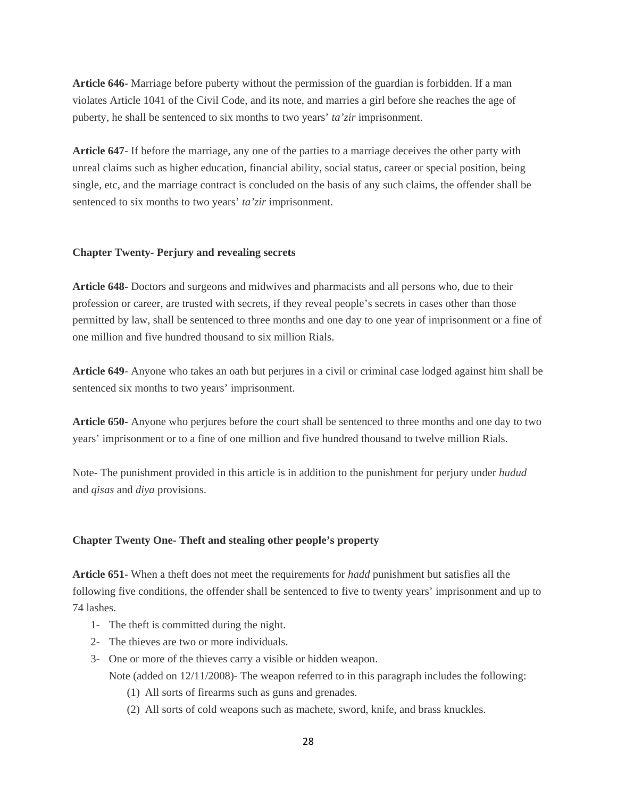**Article 646**- Marriage before puberty without the permission of the guardian is forbidden. If a man violates Article 1041 of the Civil Code, and its note, and marries a girl before she reaches the age of puberty, he shall be sentenced to six months to two years' *ta'zir* imprisonment.

**Article 647**- If before the marriage, any one of the parties to a marriage deceives the other party with unreal claims such as higher education, financial ability, social status, career or special position, being single, etc, and the marriage contract is concluded on the basis of any such claims, the offender shall be sentenced to six months to two years' *ta'zir* imprisonment.

#### **Chapter Twenty- Perjury and revealing secrets**

**Article 648**- Doctors and surgeons and midwives and pharmacists and all persons who, due to their profession or career, are trusted with secrets, if they reveal people's secrets in cases other than those permitted by law, shall be sentenced to three months and one day to one year of imprisonment or a fine of one million and five hundred thousand to six million Rials.

**Article 649**- Anyone who takes an oath but perjures in a civil or criminal case lodged against him shall be sentenced six months to two years' imprisonment.

**Article 650**- Anyone who perjures before the court shall be sentenced to three months and one day to two years' imprisonment or to a fine of one million and five hundred thousand to twelve million Rials.

Note- The punishment provided in this article is in addition to the punishment for perjury under *hudud* and *qisas* and *diya* provisions.

#### **Chapter Twenty One- Theft and stealing other people's property**

**Article 651**- When a theft does not meet the requirements for *hadd* punishment but satisfies all the following five conditions, the offender shall be sentenced to five to twenty years' imprisonment and up to 74 lashes.

- 1- The theft is committed during the night.
- 2- The thieves are two or more individuals.
- 3- One or more of the thieves carry a visible or hidden weapon. Note (added on  $12/11/2008$ )- The weapon referred to in this paragraph includes the following:
	- (1) All sorts of firearms such as guns and grenades.
	- (2) All sorts of cold weapons such as machete, sword, knife, and brass knuckles.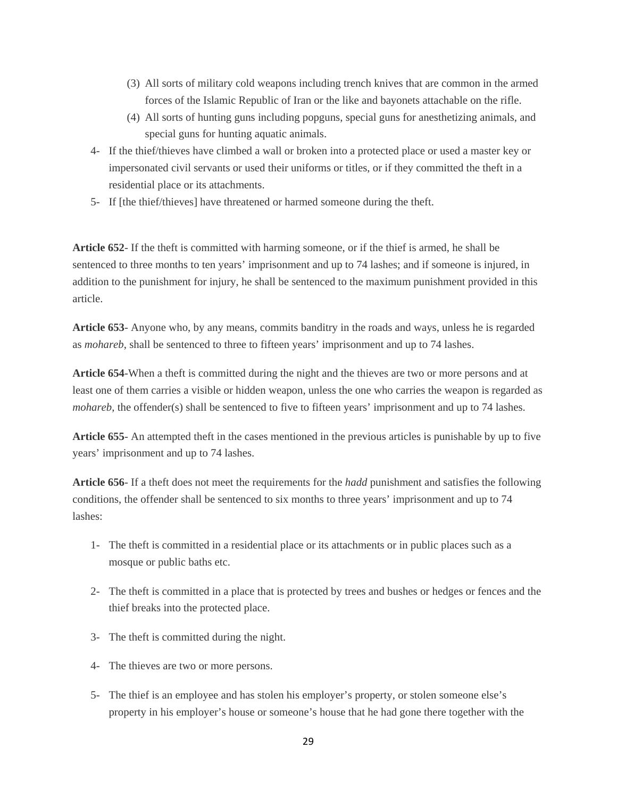- (3) All sorts of military cold weapons including trench knives that are common in the armed forces of the Islamic Republic of Iran or the like and bayonets attachable on the rifle.
- (4) All sorts of hunting guns including popguns, special guns for anesthetizing animals, and special guns for hunting aquatic animals.
- 4- If the thief/thieves have climbed a wall or broken into a protected place or used a master key or impersonated civil servants or used their uniforms or titles, or if they committed the theft in a residential place or its attachments.
- 5- If [the thief/thieves] have threatened or harmed someone during the theft.

**Article 652**- If the theft is committed with harming someone, or if the thief is armed, he shall be sentenced to three months to ten years' imprisonment and up to 74 lashes; and if someone is injured, in addition to the punishment for injury, he shall be sentenced to the maximum punishment provided in this article.

**Article 653**- Anyone who, by any means, commits banditry in the roads and ways, unless he is regarded as *mohareb*, shall be sentenced to three to fifteen years' imprisonment and up to 74 lashes.

**Article 654**-When a theft is committed during the night and the thieves are two or more persons and at least one of them carries a visible or hidden weapon, unless the one who carries the weapon is regarded as *mohareb*, the offender(s) shall be sentenced to five to fifteen years' imprisonment and up to 74 lashes.

**Article 655**- An attempted theft in the cases mentioned in the previous articles is punishable by up to five years' imprisonment and up to 74 lashes.

**Article 656**- If a theft does not meet the requirements for the *hadd* punishment and satisfies the following conditions, the offender shall be sentenced to six months to three years' imprisonment and up to 74 lashes:

- 1- The theft is committed in a residential place or its attachments or in public places such as a mosque or public baths etc.
- 2- The theft is committed in a place that is protected by trees and bushes or hedges or fences and the thief breaks into the protected place.
- 3- The theft is committed during the night.
- 4- The thieves are two or more persons.
- 5- The thief is an employee and has stolen his employer's property, or stolen someone else's property in his employer's house or someone's house that he had gone there together with the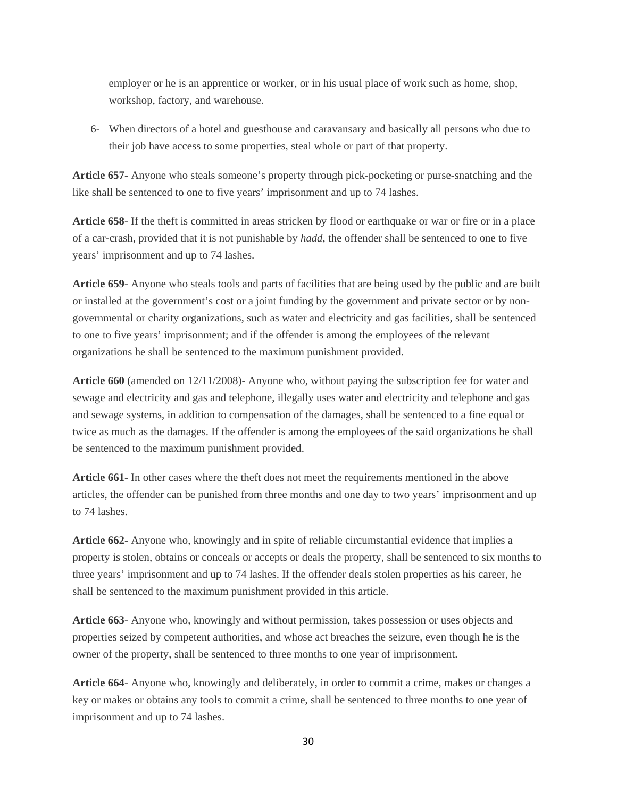employer or he is an apprentice or worker, or in his usual place of work such as home, shop, workshop, factory, and warehouse.

6- When directors of a hotel and guesthouse and caravansary and basically all persons who due to their job have access to some properties, steal whole or part of that property.

**Article 657**- Anyone who steals someone's property through pick-pocketing or purse-snatching and the like shall be sentenced to one to five years' imprisonment and up to 74 lashes.

**Article 658**- If the theft is committed in areas stricken by flood or earthquake or war or fire or in a place of a car-crash, provided that it is not punishable by *hadd*, the offender shall be sentenced to one to five years' imprisonment and up to 74 lashes.

**Article 659**- Anyone who steals tools and parts of facilities that are being used by the public and are built or installed at the government's cost or a joint funding by the government and private sector or by nongovernmental or charity organizations, such as water and electricity and gas facilities, shall be sentenced to one to five years' imprisonment; and if the offender is among the employees of the relevant organizations he shall be sentenced to the maximum punishment provided.

**Article 660** (amended on 12/11/2008)- Anyone who, without paying the subscription fee for water and sewage and electricity and gas and telephone, illegally uses water and electricity and telephone and gas and sewage systems, in addition to compensation of the damages, shall be sentenced to a fine equal or twice as much as the damages. If the offender is among the employees of the said organizations he shall be sentenced to the maximum punishment provided.

**Article 661**- In other cases where the theft does not meet the requirements mentioned in the above articles, the offender can be punished from three months and one day to two years' imprisonment and up to 74 lashes.

**Article 662**- Anyone who, knowingly and in spite of reliable circumstantial evidence that implies a property is stolen, obtains or conceals or accepts or deals the property, shall be sentenced to six months to three years' imprisonment and up to 74 lashes. If the offender deals stolen properties as his career, he shall be sentenced to the maximum punishment provided in this article.

**Article 663**- Anyone who, knowingly and without permission, takes possession or uses objects and properties seized by competent authorities, and whose act breaches the seizure, even though he is the owner of the property, shall be sentenced to three months to one year of imprisonment.

**Article 664**- Anyone who, knowingly and deliberately, in order to commit a crime, makes or changes a key or makes or obtains any tools to commit a crime, shall be sentenced to three months to one year of imprisonment and up to 74 lashes.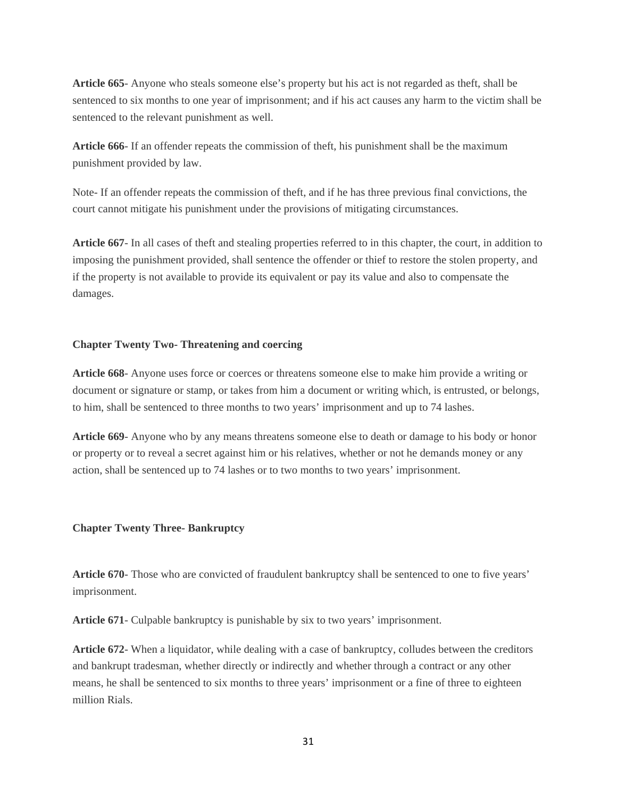**Article 665**- Anyone who steals someone else's property but his act is not regarded as theft, shall be sentenced to six months to one year of imprisonment; and if his act causes any harm to the victim shall be sentenced to the relevant punishment as well.

**Article 666**- If an offender repeats the commission of theft, his punishment shall be the maximum punishment provided by law.

Note- If an offender repeats the commission of theft, and if he has three previous final convictions, the court cannot mitigate his punishment under the provisions of mitigating circumstances.

**Article 667**- In all cases of theft and stealing properties referred to in this chapter, the court, in addition to imposing the punishment provided, shall sentence the offender or thief to restore the stolen property, and if the property is not available to provide its equivalent or pay its value and also to compensate the damages.

#### **Chapter Twenty Two- Threatening and coercing**

**Article 668**- Anyone uses force or coerces or threatens someone else to make him provide a writing or document or signature or stamp, or takes from him a document or writing which, is entrusted, or belongs, to him, shall be sentenced to three months to two years' imprisonment and up to 74 lashes.

**Article 669**- Anyone who by any means threatens someone else to death or damage to his body or honor or property or to reveal a secret against him or his relatives, whether or not he demands money or any action, shall be sentenced up to 74 lashes or to two months to two years' imprisonment.

#### **Chapter Twenty Three- Bankruptcy**

**Article 670**- Those who are convicted of fraudulent bankruptcy shall be sentenced to one to five years' imprisonment.

**Article 671**- Culpable bankruptcy is punishable by six to two years' imprisonment.

**Article 672**- When a liquidator, while dealing with a case of bankruptcy, colludes between the creditors and bankrupt tradesman, whether directly or indirectly and whether through a contract or any other means, he shall be sentenced to six months to three years' imprisonment or a fine of three to eighteen million Rials.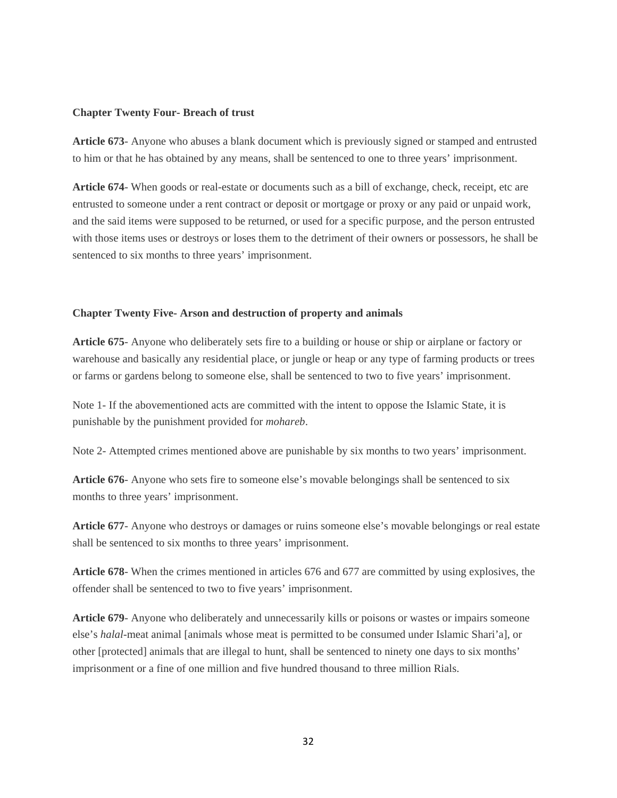#### **Chapter Twenty Four- Breach of trust**

**Article 673**- Anyone who abuses a blank document which is previously signed or stamped and entrusted to him or that he has obtained by any means, shall be sentenced to one to three years' imprisonment.

**Article 674**- When goods or real-estate or documents such as a bill of exchange, check, receipt, etc are entrusted to someone under a rent contract or deposit or mortgage or proxy or any paid or unpaid work, and the said items were supposed to be returned, or used for a specific purpose, and the person entrusted with those items uses or destroys or loses them to the detriment of their owners or possessors, he shall be sentenced to six months to three years' imprisonment.

#### **Chapter Twenty Five- Arson and destruction of property and animals**

**Article 675**- Anyone who deliberately sets fire to a building or house or ship or airplane or factory or warehouse and basically any residential place, or jungle or heap or any type of farming products or trees or farms or gardens belong to someone else, shall be sentenced to two to five years' imprisonment.

Note 1- If the abovementioned acts are committed with the intent to oppose the Islamic State, it is punishable by the punishment provided for *mohareb*.

Note 2- Attempted crimes mentioned above are punishable by six months to two years' imprisonment.

**Article 676**- Anyone who sets fire to someone else's movable belongings shall be sentenced to six months to three years' imprisonment.

**Article 677**- Anyone who destroys or damages or ruins someone else's movable belongings or real estate shall be sentenced to six months to three years' imprisonment.

**Article 678**- When the crimes mentioned in articles 676 and 677 are committed by using explosives, the offender shall be sentenced to two to five years' imprisonment.

**Article 679**- Anyone who deliberately and unnecessarily kills or poisons or wastes or impairs someone else's *halal*-meat animal [animals whose meat is permitted to be consumed under Islamic Shari'a], or other [protected] animals that are illegal to hunt, shall be sentenced to ninety one days to six months' imprisonment or a fine of one million and five hundred thousand to three million Rials.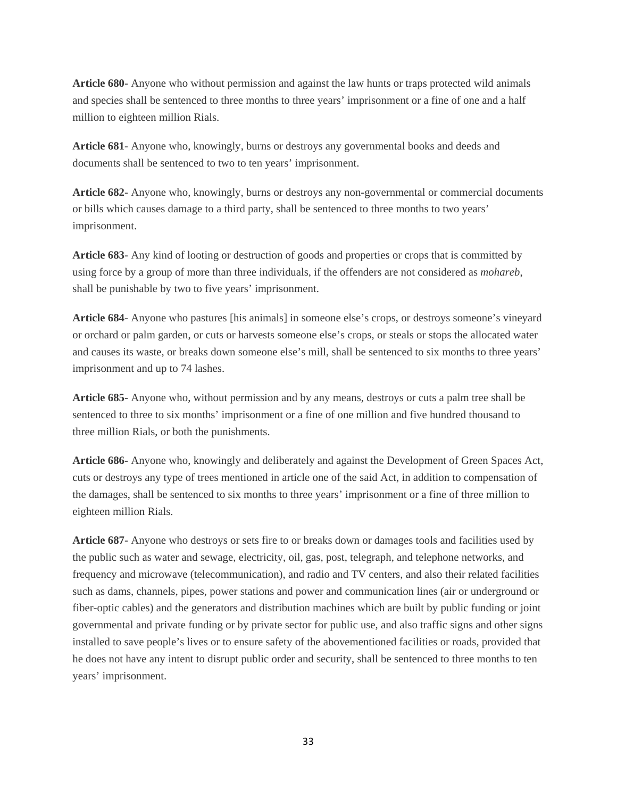**Article 680**- Anyone who without permission and against the law hunts or traps protected wild animals and species shall be sentenced to three months to three years' imprisonment or a fine of one and a half million to eighteen million Rials.

**Article 681**- Anyone who, knowingly, burns or destroys any governmental books and deeds and documents shall be sentenced to two to ten years' imprisonment.

**Article 682**- Anyone who, knowingly, burns or destroys any non-governmental or commercial documents or bills which causes damage to a third party, shall be sentenced to three months to two years' imprisonment.

**Article 683**- Any kind of looting or destruction of goods and properties or crops that is committed by using force by a group of more than three individuals, if the offenders are not considered as *mohareb*, shall be punishable by two to five years' imprisonment.

**Article 684**- Anyone who pastures [his animals] in someone else's crops, or destroys someone's vineyard or orchard or palm garden, or cuts or harvests someone else's crops, or steals or stops the allocated water and causes its waste, or breaks down someone else's mill, shall be sentenced to six months to three years' imprisonment and up to 74 lashes.

**Article 685**- Anyone who, without permission and by any means, destroys or cuts a palm tree shall be sentenced to three to six months' imprisonment or a fine of one million and five hundred thousand to three million Rials, or both the punishments.

**Article 686**- Anyone who, knowingly and deliberately and against the Development of Green Spaces Act, cuts or destroys any type of trees mentioned in article one of the said Act, in addition to compensation of the damages, shall be sentenced to six months to three years' imprisonment or a fine of three million to eighteen million Rials.

**Article 687**- Anyone who destroys or sets fire to or breaks down or damages tools and facilities used by the public such as water and sewage, electricity, oil, gas, post, telegraph, and telephone networks, and frequency and microwave (telecommunication), and radio and TV centers, and also their related facilities such as dams, channels, pipes, power stations and power and communication lines (air or underground or fiber-optic cables) and the generators and distribution machines which are built by public funding or joint governmental and private funding or by private sector for public use, and also traffic signs and other signs installed to save people's lives or to ensure safety of the abovementioned facilities or roads, provided that he does not have any intent to disrupt public order and security, shall be sentenced to three months to ten years' imprisonment.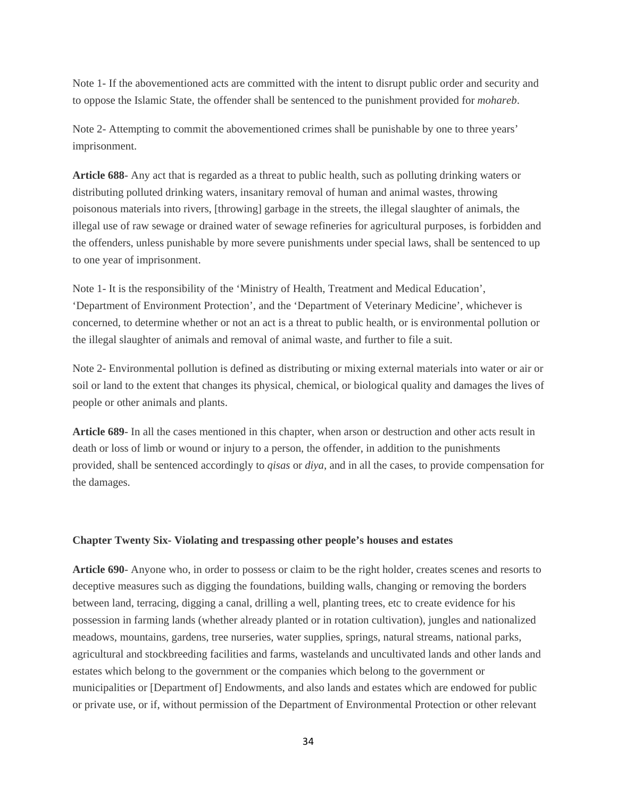Note 1- If the abovementioned acts are committed with the intent to disrupt public order and security and to oppose the Islamic State, the offender shall be sentenced to the punishment provided for *mohareb*.

Note 2- Attempting to commit the abovementioned crimes shall be punishable by one to three years' imprisonment.

**Article 688**- Any act that is regarded as a threat to public health, such as polluting drinking waters or distributing polluted drinking waters, insanitary removal of human and animal wastes, throwing poisonous materials into rivers, [throwing] garbage in the streets, the illegal slaughter of animals, the illegal use of raw sewage or drained water of sewage refineries for agricultural purposes, is forbidden and the offenders, unless punishable by more severe punishments under special laws, shall be sentenced to up to one year of imprisonment.

Note 1- It is the responsibility of the 'Ministry of Health, Treatment and Medical Education', 'Department of Environment Protection', and the 'Department of Veterinary Medicine', whichever is concerned, to determine whether or not an act is a threat to public health, or is environmental pollution or the illegal slaughter of animals and removal of animal waste, and further to file a suit.

Note 2- Environmental pollution is defined as distributing or mixing external materials into water or air or soil or land to the extent that changes its physical, chemical, or biological quality and damages the lives of people or other animals and plants.

**Article 689**- In all the cases mentioned in this chapter, when arson or destruction and other acts result in death or loss of limb or wound or injury to a person, the offender, in addition to the punishments provided, shall be sentenced accordingly to *qisas* or *diya*, and in all the cases, to provide compensation for the damages.

#### **Chapter Twenty Six- Violating and trespassing other people's houses and estates**

**Article 690**- Anyone who, in order to possess or claim to be the right holder, creates scenes and resorts to deceptive measures such as digging the foundations, building walls, changing or removing the borders between land, terracing, digging a canal, drilling a well, planting trees, etc to create evidence for his possession in farming lands (whether already planted or in rotation cultivation), jungles and nationalized meadows, mountains, gardens, tree nurseries, water supplies, springs, natural streams, national parks, agricultural and stockbreeding facilities and farms, wastelands and uncultivated lands and other lands and estates which belong to the government or the companies which belong to the government or municipalities or [Department of] Endowments, and also lands and estates which are endowed for public or private use, or if, without permission of the Department of Environmental Protection or other relevant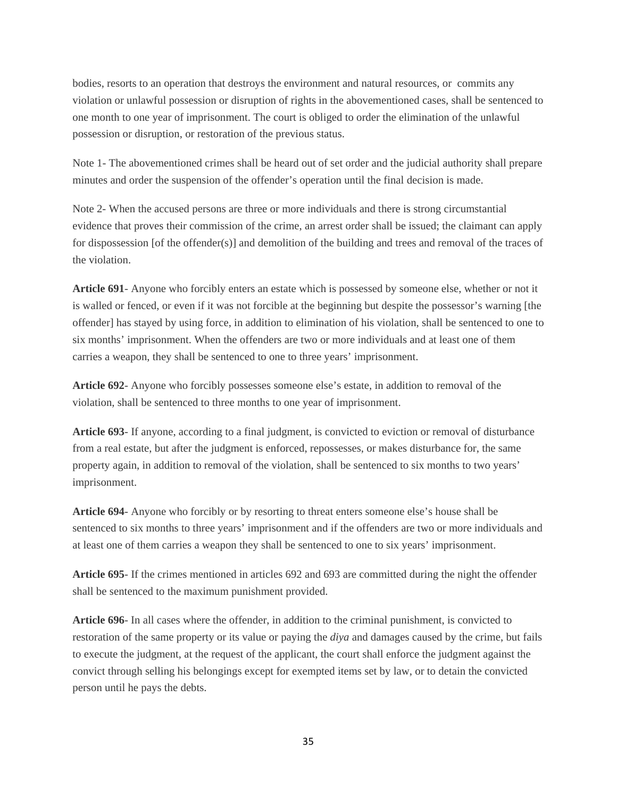bodies, resorts to an operation that destroys the environment and natural resources, or commits any violation or unlawful possession or disruption of rights in the abovementioned cases, shall be sentenced to one month to one year of imprisonment. The court is obliged to order the elimination of the unlawful possession or disruption, or restoration of the previous status.

Note 1- The abovementioned crimes shall be heard out of set order and the judicial authority shall prepare minutes and order the suspension of the offender's operation until the final decision is made.

Note 2- When the accused persons are three or more individuals and there is strong circumstantial evidence that proves their commission of the crime, an arrest order shall be issued; the claimant can apply for dispossession [of the offender(s)] and demolition of the building and trees and removal of the traces of the violation.

**Article 691**- Anyone who forcibly enters an estate which is possessed by someone else, whether or not it is walled or fenced, or even if it was not forcible at the beginning but despite the possessor's warning [the offender] has stayed by using force, in addition to elimination of his violation, shall be sentenced to one to six months' imprisonment. When the offenders are two or more individuals and at least one of them carries a weapon, they shall be sentenced to one to three years' imprisonment.

**Article 692**- Anyone who forcibly possesses someone else's estate, in addition to removal of the violation, shall be sentenced to three months to one year of imprisonment.

**Article 693**- If anyone, according to a final judgment, is convicted to eviction or removal of disturbance from a real estate, but after the judgment is enforced, repossesses, or makes disturbance for, the same property again, in addition to removal of the violation, shall be sentenced to six months to two years' imprisonment.

**Article 694**- Anyone who forcibly or by resorting to threat enters someone else's house shall be sentenced to six months to three years' imprisonment and if the offenders are two or more individuals and at least one of them carries a weapon they shall be sentenced to one to six years' imprisonment.

**Article 695**- If the crimes mentioned in articles 692 and 693 are committed during the night the offender shall be sentenced to the maximum punishment provided.

**Article 696**- In all cases where the offender, in addition to the criminal punishment, is convicted to restoration of the same property or its value or paying the *diya* and damages caused by the crime, but fails to execute the judgment, at the request of the applicant, the court shall enforce the judgment against the convict through selling his belongings except for exempted items set by law, or to detain the convicted person until he pays the debts.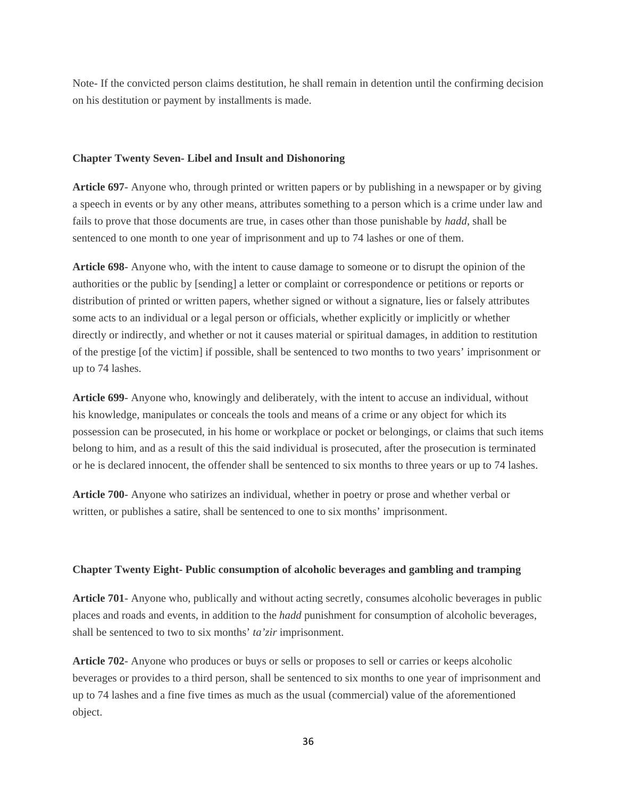Note- If the convicted person claims destitution, he shall remain in detention until the confirming decision on his destitution or payment by installments is made.

#### **Chapter Twenty Seven- Libel and Insult and Dishonoring**

**Article 697**- Anyone who, through printed or written papers or by publishing in a newspaper or by giving a speech in events or by any other means, attributes something to a person which is a crime under law and fails to prove that those documents are true, in cases other than those punishable by *hadd*, shall be sentenced to one month to one year of imprisonment and up to 74 lashes or one of them.

**Article 698**- Anyone who, with the intent to cause damage to someone or to disrupt the opinion of the authorities or the public by [sending] a letter or complaint or correspondence or petitions or reports or distribution of printed or written papers, whether signed or without a signature, lies or falsely attributes some acts to an individual or a legal person or officials, whether explicitly or implicitly or whether directly or indirectly, and whether or not it causes material or spiritual damages, in addition to restitution of the prestige [of the victim] if possible, shall be sentenced to two months to two years' imprisonment or up to 74 lashes.

**Article 699**- Anyone who, knowingly and deliberately, with the intent to accuse an individual, without his knowledge, manipulates or conceals the tools and means of a crime or any object for which its possession can be prosecuted, in his home or workplace or pocket or belongings, or claims that such items belong to him, and as a result of this the said individual is prosecuted, after the prosecution is terminated or he is declared innocent, the offender shall be sentenced to six months to three years or up to 74 lashes.

**Article 700**- Anyone who satirizes an individual, whether in poetry or prose and whether verbal or written, or publishes a satire, shall be sentenced to one to six months' imprisonment.

#### **Chapter Twenty Eight- Public consumption of alcoholic beverages and gambling and tramping**

**Article 701**- Anyone who, publically and without acting secretly, consumes alcoholic beverages in public places and roads and events, in addition to the *hadd* punishment for consumption of alcoholic beverages, shall be sentenced to two to six months' *ta'zir* imprisonment.

**Article 702**- Anyone who produces or buys or sells or proposes to sell or carries or keeps alcoholic beverages or provides to a third person, shall be sentenced to six months to one year of imprisonment and up to 74 lashes and a fine five times as much as the usual (commercial) value of the aforementioned object.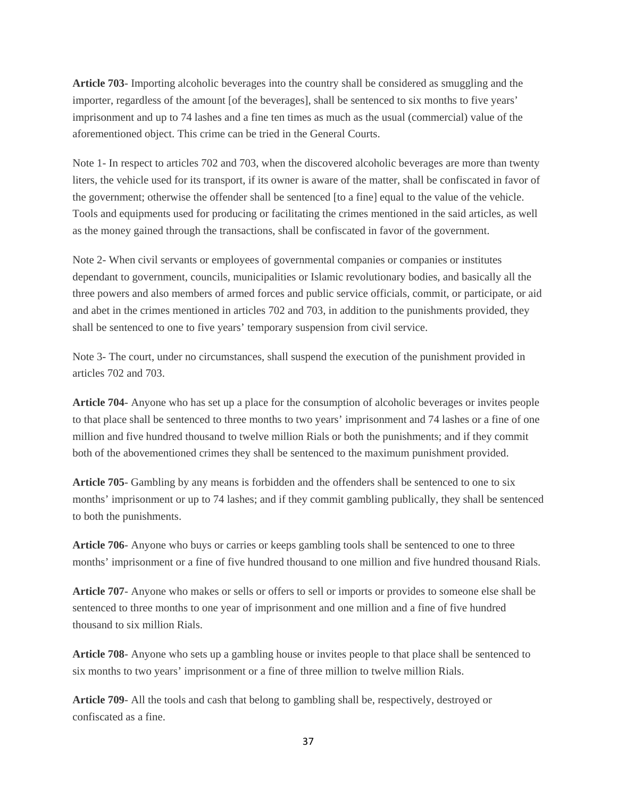**Article 703**- Importing alcoholic beverages into the country shall be considered as smuggling and the importer, regardless of the amount [of the beverages], shall be sentenced to six months to five years' imprisonment and up to 74 lashes and a fine ten times as much as the usual (commercial) value of the aforementioned object. This crime can be tried in the General Courts.

Note 1- In respect to articles 702 and 703, when the discovered alcoholic beverages are more than twenty liters, the vehicle used for its transport, if its owner is aware of the matter, shall be confiscated in favor of the government; otherwise the offender shall be sentenced [to a fine] equal to the value of the vehicle. Tools and equipments used for producing or facilitating the crimes mentioned in the said articles, as well as the money gained through the transactions, shall be confiscated in favor of the government.

Note 2- When civil servants or employees of governmental companies or companies or institutes dependant to government, councils, municipalities or Islamic revolutionary bodies, and basically all the three powers and also members of armed forces and public service officials, commit, or participate, or aid and abet in the crimes mentioned in articles 702 and 703, in addition to the punishments provided, they shall be sentenced to one to five years' temporary suspension from civil service.

Note 3- The court, under no circumstances, shall suspend the execution of the punishment provided in articles 702 and 703.

**Article 704**- Anyone who has set up a place for the consumption of alcoholic beverages or invites people to that place shall be sentenced to three months to two years' imprisonment and 74 lashes or a fine of one million and five hundred thousand to twelve million Rials or both the punishments; and if they commit both of the abovementioned crimes they shall be sentenced to the maximum punishment provided.

**Article 705**- Gambling by any means is forbidden and the offenders shall be sentenced to one to six months' imprisonment or up to 74 lashes; and if they commit gambling publically, they shall be sentenced to both the punishments.

**Article 706**- Anyone who buys or carries or keeps gambling tools shall be sentenced to one to three months' imprisonment or a fine of five hundred thousand to one million and five hundred thousand Rials.

**Article 707**- Anyone who makes or sells or offers to sell or imports or provides to someone else shall be sentenced to three months to one year of imprisonment and one million and a fine of five hundred thousand to six million Rials.

**Article 708**- Anyone who sets up a gambling house or invites people to that place shall be sentenced to six months to two years' imprisonment or a fine of three million to twelve million Rials.

**Article 709**- All the tools and cash that belong to gambling shall be, respectively, destroyed or confiscated as a fine.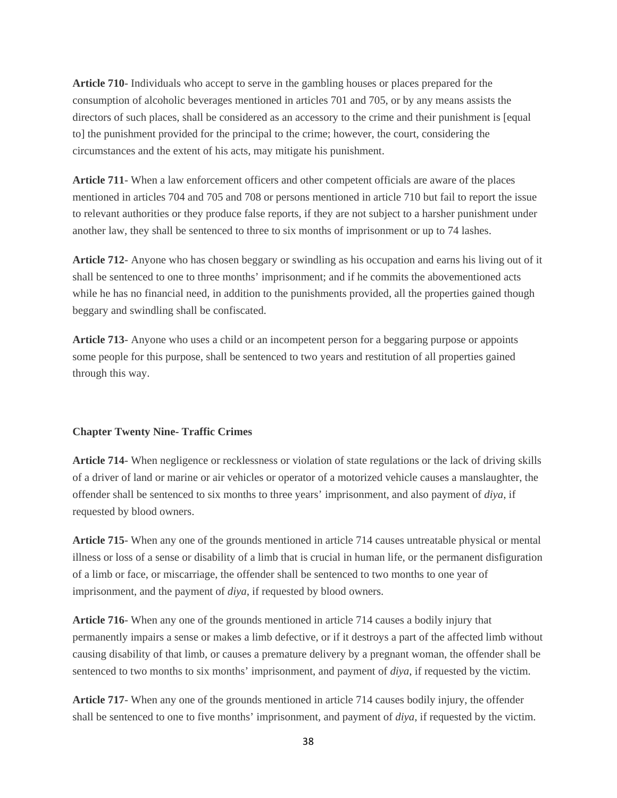**Article 710**- Individuals who accept to serve in the gambling houses or places prepared for the consumption of alcoholic beverages mentioned in articles 701 and 705, or by any means assists the directors of such places, shall be considered as an accessory to the crime and their punishment is [equal to] the punishment provided for the principal to the crime; however, the court, considering the circumstances and the extent of his acts, may mitigate his punishment.

**Article 711**- When a law enforcement officers and other competent officials are aware of the places mentioned in articles 704 and 705 and 708 or persons mentioned in article 710 but fail to report the issue to relevant authorities or they produce false reports, if they are not subject to a harsher punishment under another law, they shall be sentenced to three to six months of imprisonment or up to 74 lashes.

**Article 712**- Anyone who has chosen beggary or swindling as his occupation and earns his living out of it shall be sentenced to one to three months' imprisonment; and if he commits the abovementioned acts while he has no financial need, in addition to the punishments provided, all the properties gained though beggary and swindling shall be confiscated.

**Article 713**- Anyone who uses a child or an incompetent person for a beggaring purpose or appoints some people for this purpose, shall be sentenced to two years and restitution of all properties gained through this way.

#### **Chapter Twenty Nine- Traffic Crimes**

**Article 714**- When negligence or recklessness or violation of state regulations or the lack of driving skills of a driver of land or marine or air vehicles or operator of a motorized vehicle causes a manslaughter, the offender shall be sentenced to six months to three years' imprisonment, and also payment of *diya*, if requested by blood owners.

**Article 715**- When any one of the grounds mentioned in article 714 causes untreatable physical or mental illness or loss of a sense or disability of a limb that is crucial in human life, or the permanent disfiguration of a limb or face, or miscarriage, the offender shall be sentenced to two months to one year of imprisonment, and the payment of *diya*, if requested by blood owners.

**Article 716**- When any one of the grounds mentioned in article 714 causes a bodily injury that permanently impairs a sense or makes a limb defective, or if it destroys a part of the affected limb without causing disability of that limb, or causes a premature delivery by a pregnant woman, the offender shall be sentenced to two months to six months' imprisonment, and payment of *diya*, if requested by the victim.

**Article 717**- When any one of the grounds mentioned in article 714 causes bodily injury, the offender shall be sentenced to one to five months' imprisonment, and payment of *diya*, if requested by the victim.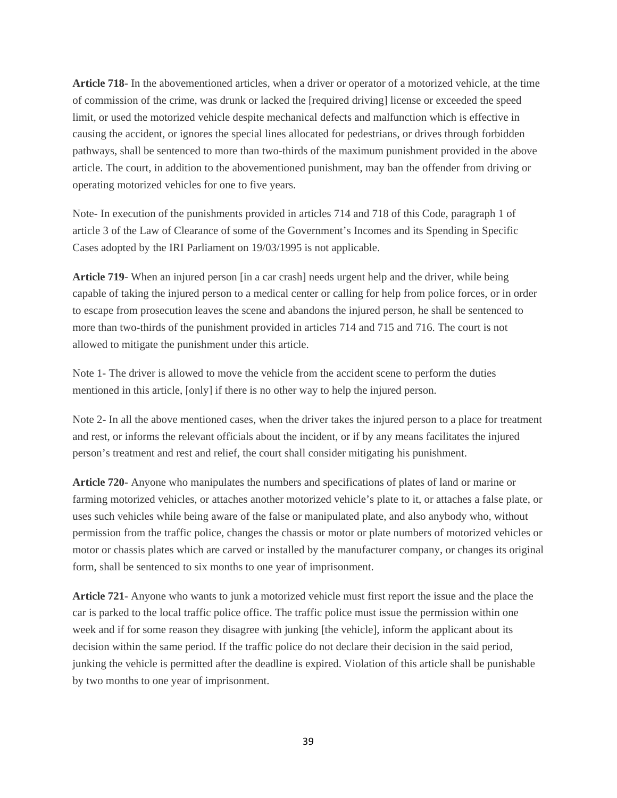**Article 718**- In the abovementioned articles, when a driver or operator of a motorized vehicle, at the time of commission of the crime, was drunk or lacked the [required driving] license or exceeded the speed limit, or used the motorized vehicle despite mechanical defects and malfunction which is effective in causing the accident, or ignores the special lines allocated for pedestrians, or drives through forbidden pathways, shall be sentenced to more than two-thirds of the maximum punishment provided in the above article. The court, in addition to the abovementioned punishment, may ban the offender from driving or operating motorized vehicles for one to five years.

Note- In execution of the punishments provided in articles 714 and 718 of this Code, paragraph 1 of article 3 of the Law of Clearance of some of the Government's Incomes and its Spending in Specific Cases adopted by the IRI Parliament on 19/03/1995 is not applicable.

**Article 719**- When an injured person [in a car crash] needs urgent help and the driver, while being capable of taking the injured person to a medical center or calling for help from police forces, or in order to escape from prosecution leaves the scene and abandons the injured person, he shall be sentenced to more than two-thirds of the punishment provided in articles 714 and 715 and 716. The court is not allowed to mitigate the punishment under this article.

Note 1- The driver is allowed to move the vehicle from the accident scene to perform the duties mentioned in this article, [only] if there is no other way to help the injured person.

Note 2- In all the above mentioned cases, when the driver takes the injured person to a place for treatment and rest, or informs the relevant officials about the incident, or if by any means facilitates the injured person's treatment and rest and relief, the court shall consider mitigating his punishment.

**Article 720**- Anyone who manipulates the numbers and specifications of plates of land or marine or farming motorized vehicles, or attaches another motorized vehicle's plate to it, or attaches a false plate, or uses such vehicles while being aware of the false or manipulated plate, and also anybody who, without permission from the traffic police, changes the chassis or motor or plate numbers of motorized vehicles or motor or chassis plates which are carved or installed by the manufacturer company, or changes its original form, shall be sentenced to six months to one year of imprisonment.

**Article 721**- Anyone who wants to junk a motorized vehicle must first report the issue and the place the car is parked to the local traffic police office. The traffic police must issue the permission within one week and if for some reason they disagree with junking [the vehicle], inform the applicant about its decision within the same period. If the traffic police do not declare their decision in the said period, junking the vehicle is permitted after the deadline is expired. Violation of this article shall be punishable by two months to one year of imprisonment.